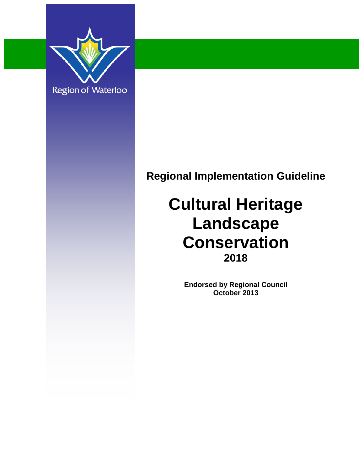

## **Regional Implementation Guideline**

## **Cultural Heritage Landscape Conservation 2018**

**Endorsed by Regional Council October 2013**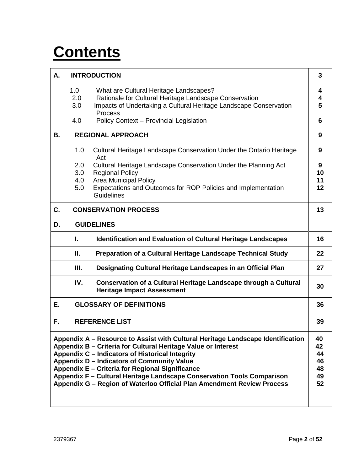## **Contents**

| А.                                                                                                                                                                                                                                                                                                                                                                                                                                                                                                 |                          | <b>INTRODUCTION</b>                                                                                                                                                                                                    | 3                   |  |  |
|----------------------------------------------------------------------------------------------------------------------------------------------------------------------------------------------------------------------------------------------------------------------------------------------------------------------------------------------------------------------------------------------------------------------------------------------------------------------------------------------------|--------------------------|------------------------------------------------------------------------------------------------------------------------------------------------------------------------------------------------------------------------|---------------------|--|--|
|                                                                                                                                                                                                                                                                                                                                                                                                                                                                                                    | 1.0<br>2.0<br>3.0<br>4.0 | What are Cultural Heritage Landscapes?<br>Rationale for Cultural Heritage Landscape Conservation<br>Impacts of Undertaking a Cultural Heritage Landscape Conservation<br>Process                                       | 4<br>4<br>5<br>6    |  |  |
| В.                                                                                                                                                                                                                                                                                                                                                                                                                                                                                                 |                          | Policy Context - Provincial Legislation<br><b>REGIONAL APPROACH</b>                                                                                                                                                    | 9                   |  |  |
|                                                                                                                                                                                                                                                                                                                                                                                                                                                                                                    | 1.0                      | Cultural Heritage Landscape Conservation Under the Ontario Heritage                                                                                                                                                    | 9                   |  |  |
|                                                                                                                                                                                                                                                                                                                                                                                                                                                                                                    | 2.0<br>3.0<br>4.0<br>5.0 | Act<br>Cultural Heritage Landscape Conservation Under the Planning Act<br><b>Regional Policy</b><br><b>Area Municipal Policy</b><br>Expectations and Outcomes for ROP Policies and Implementation<br><b>Guidelines</b> | 9<br>10<br>11<br>12 |  |  |
| C.                                                                                                                                                                                                                                                                                                                                                                                                                                                                                                 |                          | <b>CONSERVATION PROCESS</b>                                                                                                                                                                                            | 13                  |  |  |
| D.                                                                                                                                                                                                                                                                                                                                                                                                                                                                                                 |                          | <b>GUIDELINES</b>                                                                                                                                                                                                      |                     |  |  |
|                                                                                                                                                                                                                                                                                                                                                                                                                                                                                                    | ı.                       | <b>Identification and Evaluation of Cultural Heritage Landscapes</b>                                                                                                                                                   | 16                  |  |  |
|                                                                                                                                                                                                                                                                                                                                                                                                                                                                                                    | Ⅱ.                       | Preparation of a Cultural Heritage Landscape Technical Study                                                                                                                                                           | 22                  |  |  |
|                                                                                                                                                                                                                                                                                                                                                                                                                                                                                                    | Ш.                       | Designating Cultural Heritage Landscapes in an Official Plan                                                                                                                                                           | 27                  |  |  |
|                                                                                                                                                                                                                                                                                                                                                                                                                                                                                                    | IV.                      | Conservation of a Cultural Heritage Landscape through a Cultural<br><b>Heritage Impact Assessment</b>                                                                                                                  | 30                  |  |  |
| Е.                                                                                                                                                                                                                                                                                                                                                                                                                                                                                                 |                          | <b>GLOSSARY OF DEFINITIONS</b>                                                                                                                                                                                         | 36                  |  |  |
| F.<br><b>REFERENCE LIST</b><br>39                                                                                                                                                                                                                                                                                                                                                                                                                                                                  |                          |                                                                                                                                                                                                                        |                     |  |  |
| Appendix A – Resource to Assist with Cultural Heritage Landscape Identification<br>40<br>Appendix B - Criteria for Cultural Heritage Value or Interest<br>42<br>Appendix C - Indicators of Historical Integrity<br>44<br>Appendix D - Indicators of Community Value<br>46<br>Appendix E - Criteria for Regional Significance<br>48<br>Appendix F - Cultural Heritage Landscape Conservation Tools Comparison<br>49<br>Appendix G - Region of Waterloo Official Plan Amendment Review Process<br>52 |                          |                                                                                                                                                                                                                        |                     |  |  |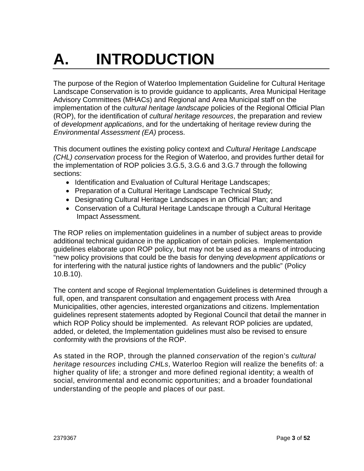# **A. INTRODUCTION**

The purpose of the Region of Waterloo Implementation Guideline for Cultural Heritage Landscape Conservation is to provide guidance to applicants, Area Municipal Heritage Advisory Committees (MHACs) and Regional and Area Municipal staff on the implementation of the *cultural heritage landscape* policies of the Regional Official Plan (ROP), for the identification of *cultural heritage resources*, the preparation and review of *development applications*, and for the undertaking of heritage review during the *Environmental Assessment (EA)* process.

This document outlines the existing policy context and *Cultural Heritage Landscape (CHL) conservation* process for the Region of Waterloo, and provides further detail for the implementation of ROP policies 3.G.5, 3.G.6 and 3.G.7 through the following sections:

- Identification and Evaluation of Cultural Heritage Landscapes;
- Preparation of a Cultural Heritage Landscape Technical Study;
- Designating Cultural Heritage Landscapes in an Official Plan; and
- Conservation of a Cultural Heritage Landscape through a Cultural Heritage Impact Assessment.

The ROP relies on implementation guidelines in a number of subject areas to provide additional technical guidance in the application of certain policies. Implementation guidelines elaborate upon ROP policy, but may not be used as a means of introducing "new policy provisions that could be the basis for denying *development applications* or for interfering with the natural justice rights of landowners and the public" (Policy 10.B.10).

The content and scope of Regional Implementation Guidelines is determined through a full, open, and transparent consultation and engagement process with Area Municipalities, other agencies, interested organizations and citizens. Implementation guidelines represent statements adopted by Regional Council that detail the manner in which ROP Policy should be implemented. As relevant ROP policies are updated, added, or deleted, the Implementation guidelines must also be revised to ensure conformity with the provisions of the ROP.

As stated in the ROP, through the planned *conservation* of the region's *cultural heritage* r*esources* including *CHLs*, Waterloo Region will realize the benefits of: a higher quality of life; a stronger and more defined regional identity; a wealth of social, environmental and economic opportunities; and a broader foundational understanding of the people and places of our past.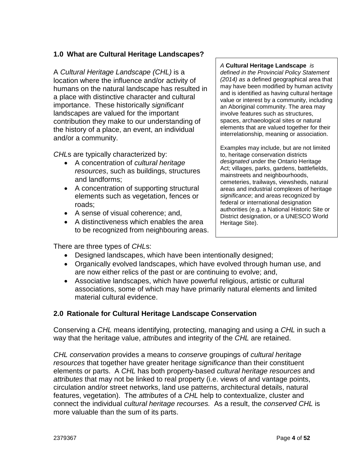#### **1.0 What are Cultural Heritage Landscapes?**

A *Cultural Heritage Landscape (CHL)* is a location where the influence and/or activity of humans on the natural landscape has resulted in a place with distinctive character and cultural importance. These historically *significant* landscapes are valued for the important contribution they make to our understanding of the history of a place, an event, an individual and/or a community.

*CHL*s are typically characterized by:

- A concentration of *cultural heritage resources*, such as buildings, structures and landforms;
- A concentration of supporting structural elements such as vegetation, fences or roads;
- A sense of visual coherence; and,
- A distinctiveness which enables the area to be recognized from neighbouring areas.

There are three types of *CHL*s:

- Designed landscapes, which have been intentionally designed;
- Organically evolved landscapes, which have evolved through human use, and are now either relics of the past or are continuing to evolve; and,
- Associative landscapes, which have powerful religious, artistic or cultural associations, some of which may have primarily natural elements and limited material cultural evidence.

#### **2.0 Rationale for Cultural Heritage Landscape Conservation**

Conserving a *CHL* means identifying, protecting, managing and using a *CHL* in such a way that the heritage value, *attribute*s and integrity of the *CHL* are retained.

*CHL conservation* provides a means to *conserve* groupings of *cultural heritage resources* that together have greater heritage *significance* than their constituent elements or parts. A *CHL* has both property-based *cultural heritage resources* and *attributes* that may not be linked to real property (i.e. views of and vantage points, circulation and/or street networks, land use patterns, architectural details, natural features, vegetation). The *attributes* of a *CHL* help to contextualize, cluster and connect the individual *cultural heritage recourses.* As a result, the *conserved CHL* is more valuable than the sum of its parts.

#### *A* **Cultural Heritage Landscape** *is*

*defined in the Provincial Policy Statement (2014) as* a defined geographical area that may have been modified by human activity and is identified as having cultural heritage value or interest by a community, including an Aboriginal community. The area may involve features such as structures, spaces, archaeological sites or natural elements that are valued together for their interrelationship, meaning or association.

Examples may include, but are not limited to, heritage conservation districts *designated* under the Ontario Heritage Act; villages, parks, gardens, battlefields, mainstreets and neighbourhoods, cemeteries, trailways, viewsheds, natural areas and industrial complexes of heritage *significance*; and areas recognized by federal or international designation authorities (e.g. a National Historic Site or District designation, or a UNESCO World Heritage Site).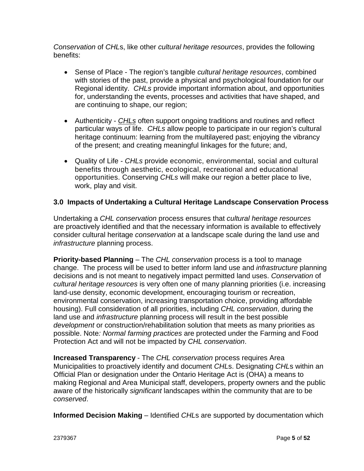*Conservation* of *CHL*s, like other *cultural heritage resources*, provides the following benefits:

- Sense of Place The region's tangible *cultural heritage resources*, combined with stories of the past, provide a physical and psychological foundation for our Regional identity. *CHLs* provide important information about, and opportunities for, understanding the events, processes and activities that have shaped, and are continuing to shape, our region;
- Authenticity *CHLs* often support ongoing traditions and routines and reflect particular ways of life. *CHLs* allow people to participate in our region's cultural heritage continuum: learning from the multilayered past; enjoying the vibrancy of the present; and creating meaningful linkages for the future; and,
- Quality of Life *CHLs* provide economic, environmental, social and cultural benefits through aesthetic, ecological, recreational and educational opportunities. Conserving *CHLs* will make our region a better place to live, work, play and visit.

#### **3.0 Impacts of Undertaking a Cultural Heritage Landscape Conservation Process**

Undertaking a *CHL conservation* process ensures that *cultural heritage resources* are proactively identified and that the necessary information is available to effectively consider cultural heritage *conservation* at a landscape scale during the land use and *infrastructure* planning process.

**Priority-based Planning** – The *CHL conservation* process is a tool to manage change. The process will be used to better inform land use and *infrastructure* planning decisions and is not meant to negatively impact permitted land uses. *Conservation* of *cultural heritage resources* is very often one of many planning priorities (i.e. increasing land-use density, economic development, encouraging tourism or recreation, environmental conservation, increasing transportation choice, providing affordable housing). Full consideration of all priorities, including *CHL conservation*, during the land use and *infrastructure* planning process will result in the best possible *development* or construction/rehabilitation solution that meets as many priorities as possible. Note*: Normal farming practices* are protected under the Farming and Food Protection Act and will not be impacted by *CHL conservation*.

**Increased Transparency** - The *CHL conservation* process requires Area Municipalities to proactively identify and document *CHL*s. Designating *CHL*s within an Official Plan or designation under the Ontario Heritage Act is (OHA) a means to making Regional and Area Municipal staff, developers, property owners and the public aware of the historically *significant* landscapes within the community that are to be *conserved*.

**Informed Decision Making** – Identified *CHL*s are supported by documentation which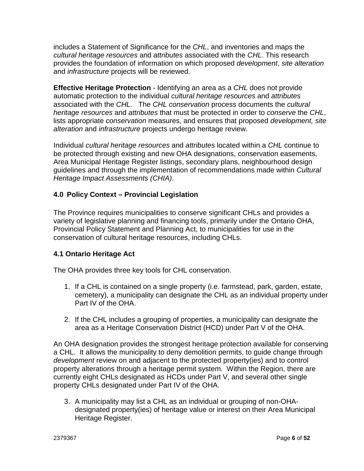includes a Statement of Significance for the *CHL*, and inventories and maps the *cultural heritage resources* and *attributes* associated with the *CHL*. This research provides the foundation of information on which proposed *development*, *site alteration* and *infrastructure* projects will be reviewed.

**Effective Heritage Protection** - Identifying an area as a *CHL* does not provide automatic protection to the individual *cultural heritage resources* and *attributes* associated with the *CHL*. The *CHL conservation* process documents the *cultural heritage resources* and *attributes* that must be protected in order to *conserve* the *CHL*, lists appropriate *conservation* measures, and ensures that proposed *development, site alteration* and *infrastructure* projects undergo heritage review.

Individual *cultural heritage resources* and *attributes* located within a *CHL* continue to be protected through existing and new OHA designations, conservation easements, Area Municipal Heritage Register listings, secondary plans, neighbourhood design guidelines and through the implementation of recommendations made within *Cultural Heritage Impact Assessments (CHIA)*.

#### **4.0 Policy Context – Provincial Legislation**

The Province requires municipalities to conserve significant CHLs and provides a variety of legislative planning and financing tools, primarily under the Ontario OHA, Provincial Policy Statement and Planning Act, to municipalities for use in the conservation of cultural heritage resources, including CHLs.

#### **4.1 Ontario Heritage Act**

The OHA provides three key tools for CHL conservation.

- 1. If a CHL is contained on a single property (i.e. farmstead, park, garden, estate, cemetery), a municipality can designate the CHL as an individual property under Part IV of the OHA.
- 2. If the CHL includes a grouping of properties, a municipality can designate the area as a Heritage Conservation District (HCD) under Part V of the OHA.

An OHA designation provides the strongest heritage protection available for conserving a CHL. It allows the municipality to deny demolition permits, to guide change through *development* review on and adjacent to the protected property(ies) and to control property alterations through a heritage permit system. Within the Region, there are currently eight CHLs designated as HCDs under Part V, and several other single property CHLs designated under Part IV of the OHA.

3. A municipality may list a CHL as an individual or grouping of non-OHAdesignated property(ies) of heritage value or interest on their Area Municipal Heritage Register.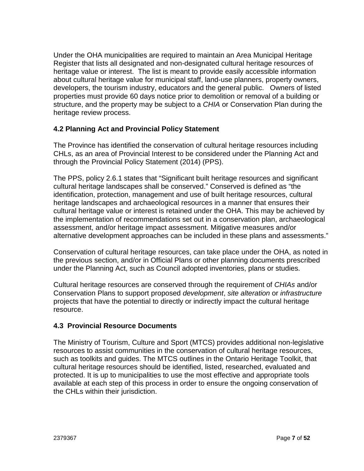Under the OHA municipalities are required to maintain an Area Municipal Heritage Register that lists all designated and non-designated cultural heritage resources of heritage value or interest. The list is meant to provide easily accessible information about cultural heritage value for municipal staff, land-use planners, property owners, developers, the tourism industry, educators and the general public. Owners of listed properties must provide 60 days notice prior to demolition or removal of a building or structure, and the property may be subject to a *CHIA* or Conservation Plan during the heritage review process.

#### **4.2 Planning Act and Provincial Policy Statement**

The Province has identified the conservation of cultural heritage resources including CHLs, as an area of Provincial Interest to be considered under the Planning Act and through the Provincial Policy Statement (2014) (PPS).

The PPS, policy 2.6.1 states that "Significant built heritage resources and significant cultural heritage landscapes shall be conserved." Conserved is defined as "the identification, protection, management and use of built heritage resources, cultural heritage landscapes and archaeological resources in a manner that ensures their cultural heritage value or interest is retained under the OHA. This may be achieved by the implementation of recommendations set out in a conservation plan, archaeological assessment, and/or heritage impact assessment. Mitigative measures and/or alternative development approaches can be included in these plans and assessments."

Conservation of cultural heritage resources, can take place under the OHA, as noted in the previous section, and/or in Official Plans or other planning documents prescribed under the Planning Act, such as Council adopted inventories, plans or studies.

Cultural heritage resources are conserved through the requirement of *CHIAs* and/or Conservation Plans to support proposed *development*, *site alteration* or *infrastructure*  projects that have the potential to directly or indirectly impact the cultural heritage resource.

#### **4.3 Provincial Resource Documents**

The Ministry of Tourism, Culture and Sport (MTCS) provides additional non-legislative resources to assist communities in the conservation of cultural heritage resources, such as toolkits and guides. The MTCS outlines in the Ontario Heritage Toolkit, that cultural heritage resources should be identified, listed, researched, evaluated and protected. It is up to municipalities to use the most effective and appropriate tools available at each step of this process in order to ensure the ongoing conservation of the CHLs within their jurisdiction.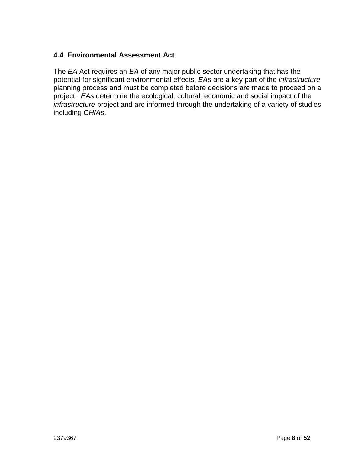#### **4.4 Environmental Assessment Act**

The *EA* Act requires an *EA* of any major public sector undertaking that has the potential for significant environmental effects. *EAs* are a key part of the *infrastructure*  planning process and must be completed before decisions are made to proceed on a project. *EAs* determine the ecological, cultural, economic and social impact of the *infrastructure* project and are informed through the undertaking of a variety of studies including *CHIAs*.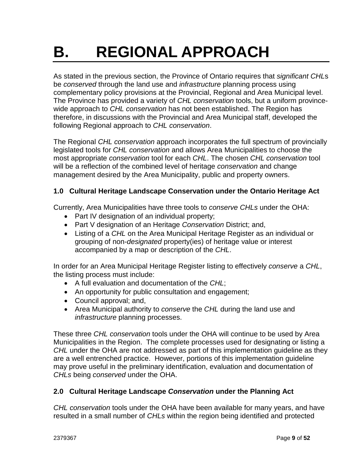## **B. REGIONAL APPROACH**

As stated in the previous section, the Province of Ontario requires that *significant CHL*s be *conserved* through the land use and *infrastructure* planning process using complementary policy provisions at the Provincial, Regional and Area Municipal level. The Province has provided a variety of *CHL conservation* tools, but a uniform provincewide approach to *CHL conservation* has not been established. The Region has therefore, in discussions with the Provincial and Area Municipal staff, developed the following Regional approach to *CHL conservation*.

The Regional *CHL conservation* approach incorporates the full spectrum of provincially legislated tools for *CHL conservation* and allows Area Municipalities to choose the most appropriate *conservation* tool for each *CHL*. The chosen *CHL conservation* tool will be a reflection of the combined level of heritage *conservation* and change management desired by the Area Municipality, public and property owners.

#### **1.0 Cultural Heritage Landscape Conservation under the Ontario Heritage Act**

Currently, Area Municipalities have three tools to *conserve CHLs* under the OHA:

- Part IV designation of an individual property;
- Part V designation of an Heritage *Conservation* District; and,
- Listing of a *CHL* on the Area Municipal Heritage Register as an individual or grouping of non-*designated* property(ies) of heritage value or interest accompanied by a map or description of the *CHL*.

In order for an Area Municipal Heritage Register listing to effectively *conserve* a *CHL*, the listing process must include:

- A full evaluation and documentation of the *CHL*;
- An opportunity for public consultation and engagement;
- Council approval; and,
- Area Municipal authority to *conserve* the *CHL* during the land use and *infrastructure* planning processes.

These three *CHL conservation* tools under the OHA will continue to be used by Area Municipalities in the Region. The complete processes used for designating or listing a *CHL* under the OHA are not addressed as part of this implementation guideline as they are a well entrenched practice. However, portions of this implementation guideline may prove useful in the preliminary identification, evaluation and documentation of *CHLs* being *conserved* under the OHA.

#### **2.0 Cultural Heritage Landscape** *Conservation* **under the Planning Act**

*CHL conservation* tools under the OHA have been available for many years, and have resulted in a small number of *CHLs* within the region being identified and protected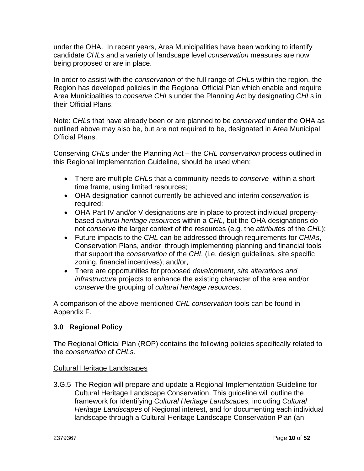under the OHA. In recent years, Area Municipalities have been working to identify candidate *CHLs* and a variety of landscape level *conservation* measures are now being proposed or are in place.

In order to assist with the *conservation* of the full range of *CHL*s within the region, the Region has developed policies in the Regional Official Plan which enable and require Area Municipalities to *conserve CHL*s under the Planning Act by designating *CHL*s in their Official Plans.

Note: *CHL*s that have already been or are planned to be *conserved* under the OHA as outlined above may also be, but are not required to be, designated in Area Municipal Official Plans.

Conserving *CHL*s under the Planning Act – the *CHL conservation* process outlined in this Regional Implementation Guideline, should be used when:

- There are multiple *CHL*s that a community needs to *conserve* within a short time frame, using limited resources;
- OHA designation cannot currently be achieved and interim *conservation* is required;
- OHA Part IV and/or V designations are in place to protect individual propertybased *cultural heritage resources* within a *CHL*, but the OHA designations do not *conserve* the larger context of the resources (e.g. the *attribute*s of the *CHL*);
- Future impacts to the *CHL* can be addressed through requirements for *CHIAs*, Conservation Plans, and/or through implementing planning and financial tools that support the *conservation* of the *CHL* (i.e. design guidelines, site specific zoning, financial incentives); and/or,
- There are opportunities for proposed *development*, *site alterations and infrastructure* projects to enhance the existing character of the area and/or *conserve* the grouping of *cultural heritage resources*.

A comparison of the above mentioned *CHL conservation* tools can be found in Appendix F.

#### **3.0 Regional Policy**

The Regional Official Plan (ROP) contains the following policies specifically related to the *conservation* of *CHLs*.

#### Cultural Heritage Landscapes

3.G.5 The Region will prepare and update a Regional Implementation Guideline for Cultural Heritage Landscape Conservation. This guideline will outline the framework for identifying *Cultural Heritage Landscapes,* including *Cultural Heritage Landscapes* of Regional interest, and for documenting each individual landscape through a Cultural Heritage Landscape Conservation Plan (an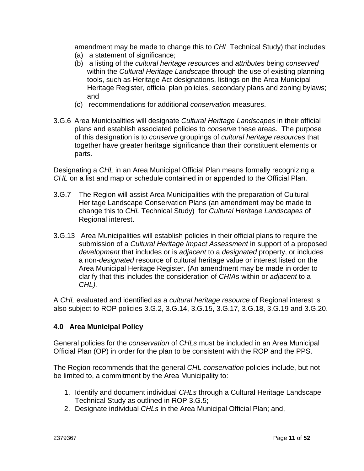amendment may be made to change this to *CHL* Technical Study) that includes: (a) a statement of significance;

- (b) a listing of the *cultural heritage resources* and *attributes* being *conserved*  within the *Cultural Heritage Landscape* through the use of existing planning tools, such as Heritage Act designations, listings on the Area Municipal Heritage Register, official plan policies, secondary plans and zoning bylaws; and
- (c) recommendations for additional *conservation* measures.
- 3.G.6 Area Municipalities will designate *Cultural Heritage Landscapes* in their official plans and establish associated policies to *conserve* these areas. The purpose of this designation is to *conserve* groupings of *cultural heritage resources* that together have greater heritage significance than their constituent elements or parts.

Designating a *CHL* in an Area Municipal Official Plan means formally recognizing a *CHL* on a list and map or schedule contained in or appended to the Official Plan.

- 3.G.7 The Region will assist Area Municipalities with the preparation of Cultural Heritage Landscape Conservation Plans (an amendment may be made to change this to *CHL* Technical Study) for *Cultural Heritage Landscapes* of Regional interest.
- 3.G.13 Area Municipalities will establish policies in their official plans to require the submission of a *Cultural Heritage Impact Assessment* in support of a proposed *development* that includes or is *adjacent* to a *designated* property, or includes a non-*designated* resource of cultural heritage value or interest listed on the Area Municipal Heritage Register. (An amendment may be made in order to clarify that this includes the consideration of *CHIAs* within or *adjacent* to a *CHL).*

A *CHL* evaluated and identified as a *cultural heritage resource* of Regional interest is also subject to ROP policies 3.G.2, 3.G.14, 3.G.15, 3.G.17, 3.G.18, 3.G.19 and 3.G.20.

#### **4.0 Area Municipal Policy**

General policies for the *conservation* of *CHLs* must be included in an Area Municipal Official Plan (OP) in order for the plan to be consistent with the ROP and the PPS.

The Region recommends that the general *CHL conservation* policies include, but not be limited to, a commitment by the Area Municipality to:

- 1. Identify and document individual *CHLs* through a Cultural Heritage Landscape Technical Study as outlined in ROP 3.G.5;
- 2. Designate individual *CHLs* in the Area Municipal Official Plan; and,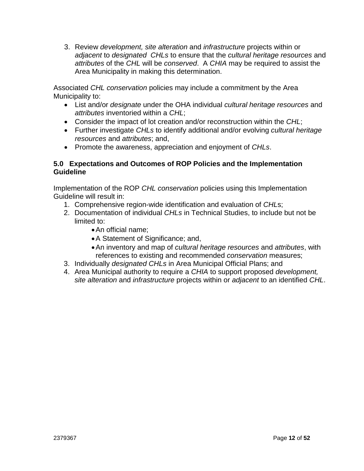3. Review *development, site alteration* and *infrastructure* projects within or *adjacent* to *designated CHLs* to ensure that the *cultural heritage resources* and *attributes* of the *CHL* will be *conserved*. A *CHIA* may be required to assist the Area Municipality in making this determination.

Associated *CHL conservation* policies may include a commitment by the Area Municipality to:

- List and/or *designate* under the OHA individual *cultural heritage resources* and *attributes* inventoried within a *CHL*;
- Consider the impact of lot creation and/or reconstruction within the *CHL*;
- Further investigate *CHLs* to identify additional and/or evolving *cultural heritage resources* and *attributes*; and,
- Promote the awareness, appreciation and enjoyment of *CHLs*.

#### **5.0 Expectations and Outcomes of ROP Policies and the Implementation Guideline**

Implementation of the ROP *CHL conservation* policies using this Implementation Guideline will result in:

- 1. Comprehensive region-wide identification and evaluation of *CHL*s;
- 2. Documentation of individual *CHLs* in Technical Studies, to include but not be limited to:
	- •An official name;
	- •A Statement of Significance; and,
	- •An inventory and map of *cultural heritage resources* and *attributes*, with references to existing and recommended *conservation* measures;
- 3. Individually *designated CHLs* in Area Municipal Official Plans; and
- 4. Area Municipal authority to require a *CHIA* to support proposed *development, site alteration* and *infrastructure* projects within or *adjacent* to an identified *CHL*.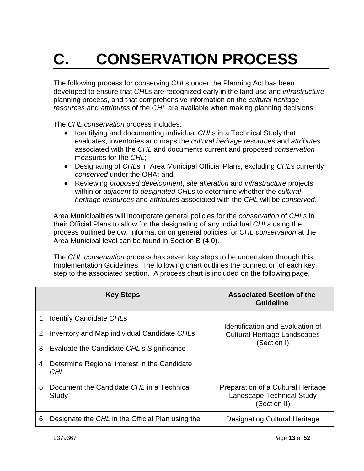# **C. CONSERVATION PROCESS**

The following process for conserving *CHL*s under the Planning Act has been developed to ensure that *CHL*s are recognized early in the land use and *infrastructure* planning process, and that comprehensive information on the *cultural heritage resources* and *attributes* of the *CHL* are available when making planning decisions.

The *CHL conservation* process includes:

- Identifying and documenting individual *CHL*s in a Technical Study that evaluates, inventories and maps the *cultural heritage resources* and *attributes*  associated with the *CHL* and documents current and proposed *conservation* measures for the *CHL*;
- Designating of *CHL*s in Area Municipal Official Plans, excluding *CHL*s currently *conserved* under the OHA; and,
- Reviewing *proposed development*, *site alteration* and *infrastructure* projects within or *adjacent* to *designated CHL*s to determine whether the *cultural heritage resources* and *attributes* associated with the *CHL* will be *conserved*.

Area Municipalities will incorporate general policies for the *conservation* of *CHLs* in their Official Plans to allow for the designating of any individual *CHLs* using the process outlined below. Information on general policies for *CHL conservation* at the Area Municipal level can be found in Section B (4.0).

The *CHL conservation* process has seven key steps to be undertaken through this Implementation Guidelines. The following chart outlines the connection of each key step to the associated section. A process chart is included on the following page.

|   | <b>Key Steps</b>                                    | <b>Associated Section of the</b><br><b>Guideline</b>                                   |  |
|---|-----------------------------------------------------|----------------------------------------------------------------------------------------|--|
|   | <b>Identify Candidate CHLs</b>                      |                                                                                        |  |
| 2 | Inventory and Map individual Candidate CHLs         | Identification and Evaluation of<br><b>Cultural Heritage Landscapes</b>                |  |
| 3 | Evaluate the Candidate CHL's Significance           | (Section I)                                                                            |  |
| 4 | Determine Regional interest in the Candidate<br>CHL |                                                                                        |  |
| 5 | Document the Candidate CHL in a Technical<br>Study  | Preparation of a Cultural Heritage<br><b>Landscape Technical Study</b><br>(Section II) |  |
| 6 | Designate the CHL in the Official Plan using the    | Designating Cultural Heritage                                                          |  |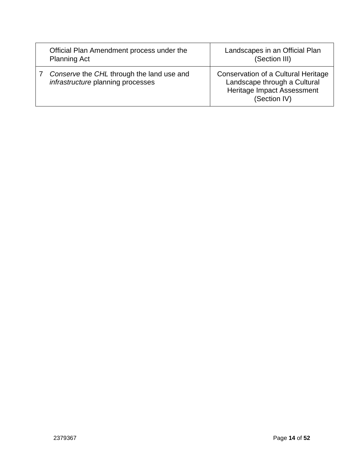| Official Plan Amendment process under the<br><b>Planning Act</b>                      | Landscapes in an Official Plan<br>(Section III)                                                                   |
|---------------------------------------------------------------------------------------|-------------------------------------------------------------------------------------------------------------------|
| Conserve the CHL through the land use and<br><i>infrastructure</i> planning processes | Conservation of a Cultural Heritage<br>Landscape through a Cultural<br>Heritage Impact Assessment<br>(Section IV) |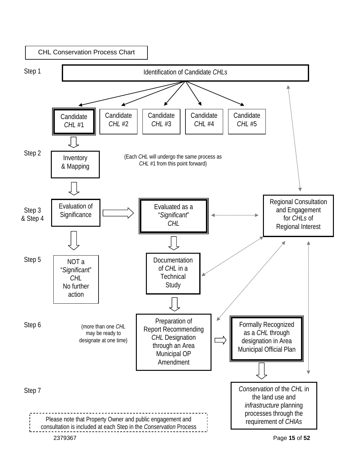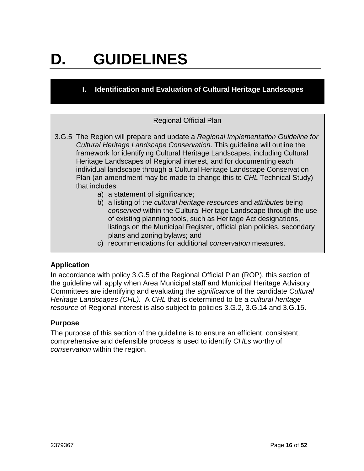## **D. GUIDELINES**

**I. Identification and Evaluation of Cultural Heritage Landscapes**

#### Regional Official Plan

- 3.G.5 The Region will prepare and update a *Regional Implementation Guideline for Cultural Heritage Landscape Conservation*. This guideline will outline the framework for identifying Cultural Heritage Landscapes, including Cultural Heritage Landscapes of Regional interest, and for documenting each individual landscape through a Cultural Heritage Landscape Conservation Plan (an amendment may be made to change this to *CHL* Technical Study) that includes:
	- a) a statement of significan*ce*;
	- b) a listing of the *cultural heritage resources* and *attribute*s being *conserved* within the Cultural Heritage Landscape through the use of existing planning tools, such as Heritage Act designations, listings on the Municipal Register, official plan policies, secondary plans and zoning bylaws; and
	- c) recommendations for additional *conservation* measures.

#### **Application**

In accordance with policy 3.G.5 of the Regional Official Plan (ROP), this section of the guideline will apply when Area Municipal staff and Municipal Heritage Advisory Committees are identifying and evaluating the *significanc*e of the candidate *Cultural Heritage Landscapes (CHL).* A *CHL* that is determined to be a *cultural heritage resource* of Regional interest is also subject to policies 3.G.2, 3.G.14 and 3.G.15.

#### **Purpose**

The purpose of this section of the guideline is to ensure an efficient, consistent, comprehensive and defensible process is used to identify *CHLs* worthy of *conservation* within the region.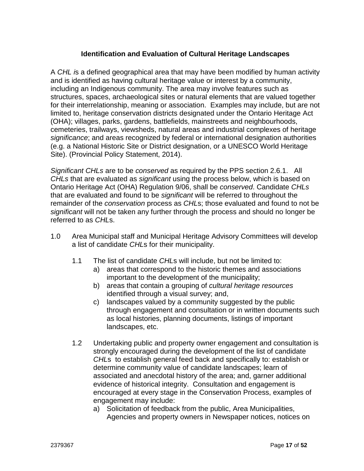#### **Identification and Evaluation of Cultural Heritage Landscapes**

A *CHL i*s a defined geographical area that may have been modified by human activity and is identified as having cultural heritage value or interest by a community, including an Indigenous community. The area may involve features such as structures, spaces, archaeological sites or natural elements that are valued together for their interrelationship, meaning or association. Examples may include, but are not limited to, heritage conservation districts designated under the Ontario Heritage Act (OHA); villages, parks, gardens, battlefields, mainstreets and neighbourhoods, cemeteries, trailways, viewsheds, natural areas and industrial complexes of heritage *significance*; and areas recognized by federal or international designation authorities (e.g. a National Historic Site or District designation, or a UNESCO World Heritage Site). (Provincial Policy Statement, 2014).

*Significant CHLs* are to be *conserved* as required by the PPS section 2.6.1. All *CHLs* that are evaluated as *significant* using the process below, which is based on Ontario Heritage Act (OHA) Regulation 9/06, shall be *conserved*. Candidate *CHLs* that are evaluated and found to be *significant* will be referred to throughout the remainder of the *conservation* process as *CHL*s; those evaluated and found to not be *significant* will not be taken any further through the process and should no longer be referred to as *CHL*s.

- 1.0 Area Municipal staff and Municipal Heritage Advisory Committees will develop a list of candidate *CHL*s for their municipality.
	- 1.1 The list of candidate *CHL*s will include, but not be limited to:
		- a) areas that correspond to the historic themes and associations important to the development of the municipality;
		- b) areas that contain a grouping of *cultural heritage resources* identified through a visual survey; and,
		- c) landscapes valued by a community suggested by the public through engagement and consultation or in written documents such as local histories, planning documents, listings of important landscapes, etc.
	- 1.2 Undertaking public and property owner engagement and consultation is strongly encouraged during the development of the list of candidate *CHL*s to establish general feed back and specifically to: establish or determine community value of candidate landscapes; learn of associated and anecdotal history of the area; and, garner additional evidence of historical integrity. Consultation and engagement is encouraged at every stage in the Conservation Process, examples of engagement may include:
		- a) Solicitation of feedback from the public, Area Municipalities, Agencies and property owners in Newspaper notices, notices on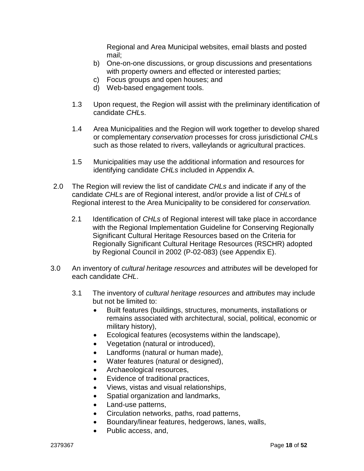Regional and Area Municipal websites, email blasts and posted mail;

- b) One-on-one discussions, or group discussions and presentations with property owners and effected or interested parties;
- c) Focus groups and open houses; and
- d) Web-based engagement tools.
- 1.3 Upon request, the Region will assist with the preliminary identification of candidate *CHL*s.
- 1.4 Area Municipalities and the Region will work together to develop shared or complementary *conservation* processes for cross jurisdictional *CHL*s such as those related to rivers, valleylands or agricultural practices.
- 1.5 Municipalities may use the additional information and resources for identifying candidate *CHLs* included in Appendix A.
- 2.0 The Region will review the list of candidate *CHLs* and indicate if any of the candidate *CHLs* are of Regional interest, and/or provide a list of *CHLs* of Regional interest to the Area Municipality to be considered for *conservation.*
	- 2.1 Identification of *CHLs* of Regional interest will take place in accordance with the Regional Implementation Guideline for Conserving Regionally Significant Cultural Heritage Resources based on the Criteria for Regionally Significant Cultural Heritage Resources (RSCHR) adopted by Regional Council in 2002 (P-02-083) (see Appendix E).
- 3.0 An inventory of *cultural heritage resources* and *attributes* will be developed for each candidate *CHL*.
	- 3.1 The inventory of *cultural heritage resources* and *attributes* may include but not be limited to:
		- Built features (buildings, structures, monuments, installations or remains associated with architectural, social, political, economic or military history),
		- Ecological features (ecosystems within the landscape),
		- Vegetation (natural or introduced),
		- Landforms (natural or human made),
		- Water features (natural or designed),
		- Archaeological resources,
		- Evidence of traditional practices,
		- Views, vistas and visual relationships,
		- Spatial organization and landmarks,
		- Land-use patterns,
		- Circulation networks, paths, road patterns,
		- Boundary/linear features, hedgerows, lanes, walls,
		- Public access, and,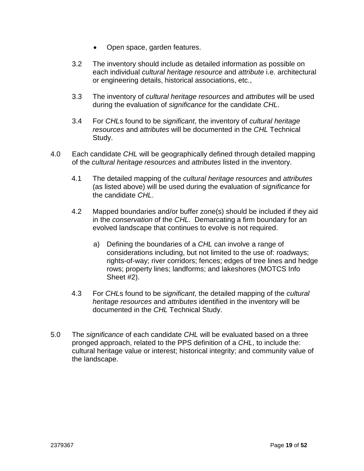- Open space, garden features.
- 3.2 The inventory should include as detailed information as possible on each individual *cultural heritage resource* and *attribute* i.e. architectural or engineering details, historical associations, etc.,
- 3.3 The inventory of *cultural heritage resources* and *attributes* will be used during the evaluation of *significance* for the candidate *CHL*.
- 3.4 For *CHL*s found to be *significant*, the inventory of *cultural heritage resources* and *attributes* will be documented in the *CHL* Technical Study.
- 4.0 Each candidate *CHL* will be geographically defined through detailed mapping of the *cultural heritage resources* and *attributes* listed in the inventory.
	- 4.1 The detailed mapping of the *cultural heritage resources* and *attributes*  (as listed above) will be used during the evaluation of *significance* for the candidate *CHL*.
	- 4.2 Mapped boundaries and/or buffer zone(s) should be included if they aid in the *conservation* of the *CHL*. Demarcating a firm boundary for an evolved landscape that continues to evolve is not required.
		- a) Defining the boundaries of a *CHL* can involve a range of considerations including, but not limited to the use of: roadways; rights-of-way; river corridors; fences; edges of tree lines and hedge rows; property lines; landforms; and lakeshores (MOTCS Info Sheet #2).
	- 4.3 For *CHL*s found to be *significant*, the detailed mapping of the *cultural heritage resources* and *attributes* identified in the inventory will be documented in the *CHL* Technical Study.
- 5.0 The *significance* of each candidate *CHL* will be evaluated based on a three pronged approach, related to the PPS definition of a *CHL*, to include the: cultural heritage value or interest; historical integrity; and community value of the landscape.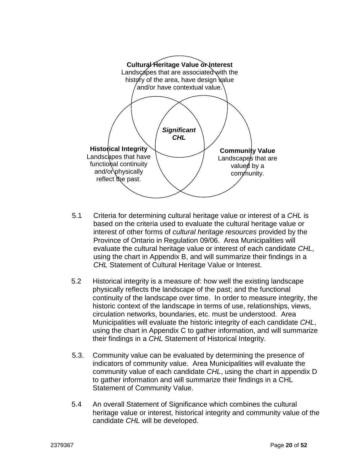

- 5.1 Criteria for determining cultural heritage value or interest of a *CHL* is based on the criteria used to evaluate the cultural heritage value or interest of other forms of *cultural heritage resources* provided by the Province of Ontario in Regulation 09/06. Area Municipalities will evaluate the cultural heritage value or interest of each candidate *CHL*, using the chart in Appendix B, and will summarize their findings in a *CHL* Statement of Cultural Heritage Value or Interest.
- 5.2 Historical integrity is a measure of: how well the existing landscape physically reflects the landscape of the past; and the functional continuity of the landscape over time. In order to measure integrity, the historic context of the landscape in terms of use, relationships, views, circulation networks, boundaries, etc. must be understood. Area Municipalities will evaluate the historic integrity of each candidate *CHL*, using the chart in Appendix C to gather information, and will summarize their findings in a *CHL* Statement of Historical Integrity.
- 5.3. Community value can be evaluated by determining the presence of indicators of community value. Area Municipalities will evaluate the community value of each candidate *CHL*, using the chart in appendix D to gather information and will summarize their findings in a CHL Statement of Community Value.
- 5.4 An overall Statement of Significance which combines the cultural heritage value or interest, historical integrity and community value of the candidate *CHL* will be developed.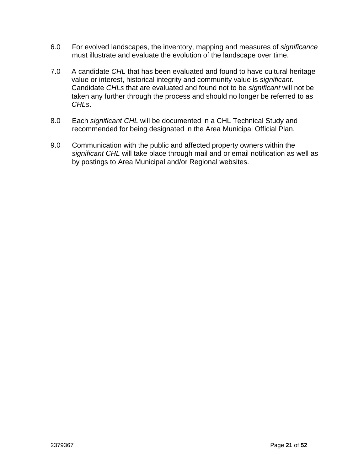- 6.0 For evolved landscapes, the inventory, mapping and measures of *significance* must illustrate and evaluate the evolution of the landscape over time.
- 7.0 A candidate *CHL* that has been evaluated and found to have cultural heritage value or interest, historical integrity and community value is *significant.*  Candidate *CHLs* that are evaluated and found not to be *significant* will not be taken any further through the process and should no longer be referred to as *CHLs*.
- 8.0 Each *significant CHL* will be documented in a CHL Technical Study and recommended for being designated in the Area Municipal Official Plan.
- 9.0 Communication with the public and affected property owners within the *significant CHL* will take place through mail and or email notification as well as by postings to Area Municipal and/or Regional websites.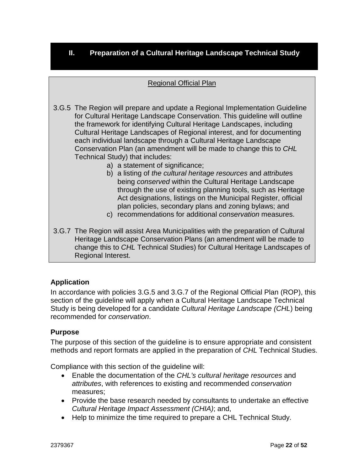#### **II. Preparation of a Cultural Heritage Landscape Technical Study**

#### Regional Official Plan

3.G.5 The Region will prepare and update a Regional Implementation Guideline for Cultural Heritage Landscape Conservation. This guideline will outline the framework for identifying Cultural Heritage Landscapes, including Cultural Heritage Landscapes of Regional interest, and for documenting each individual landscape through a Cultural Heritage Landscape Conservation Plan (an amendment will be made to change this to *CHL* Technical Study) that includes:

- a) a statement of significance;
- b) a listing of *the cultural heritage resources* and *attribute*s being *conserved* within the Cultural Heritage Landscape through the use of existing planning tools, such as Heritage Act designations, listings on the Municipal Register, official plan policies, secondary plans and zoning bylaws; and
- c) recommendations for additional *conservation* measures.
- 3.G.7 The Region will assist Area Municipalities with the preparation of Cultural Heritage Landscape Conservation Plans (an amendment will be made to change this to *CHL* Technical Studies) for Cultural Heritage Landscapes of Regional Interest.

#### **Application**

In accordance with policies 3.G.5 and 3.G.7 of the Regional Official Plan (ROP), this section of the guideline will apply when a Cultural Heritage Landscape Technical Study is being developed for a candidate *Cultural Heritage Landscape (CHL*) being recommended for *conservation*.

#### **Purpose**

The purpose of this section of the guideline is to ensure appropriate and consistent methods and report formats are applied in the preparation of *CHL* Technical Studies.

Compliance with this section of the guideline will:

- Enable the documentation of the *CHL's cultural heritage resources* and *attributes*, with references to existing and recommended *conservation* measures;
- Provide the base research needed by consultants to undertake an effective *Cultural Heritage Impact Assessment (CHIA)*; and,
- Help to minimize the time required to prepare a CHL Technical Study.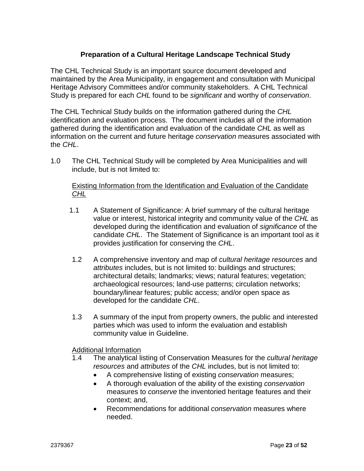#### **Preparation of a Cultural Heritage Landscape Technical Study**

The CHL Technical Study is an important source document developed and maintained by the Area Municipality, in engagement and consultation with Municipal Heritage Advisory Committees and/or community stakeholders. A CHL Technical Study is prepared for each *CHL* found to be *significant* and worthy of *conservation*.

The CHL Technical Study builds on the information gathered during the *CHL* identification and evaluation process. The document includes all of the information gathered during the identification and evaluation of the candidate *CHL* as well as information on the current and future heritage *conservation* measures associated with the *CHL*.

1.0 The CHL Technical Study will be completed by Area Municipalities and will include, but is not limited to:

#### Existing Information from the Identification and Evaluation of the Candidate *CHL*

- 1.1 A Statement of Significance: A brief summary of the cultural heritage value or interest, historical integrity and community value of the *CHL* as developed during the identification and evaluation of *significance* of the candidate *CHL*. The Statement of Significance is an important tool as it provides justification for conserving the *CHL*.
- 1.2 A comprehensive inventory and map of *cultural heritage resources* and *attributes* includes, but is not limited to: buildings and structures; architectural details; landmarks; views; natural features; vegetation; archaeological resources; land-use patterns; circulation networks; boundary/linear features; public access; and/or open space as developed for the candidate *CHL*.
- 1.3 A summary of the input from property owners, the public and interested parties which was used to inform the evaluation and establish community value in Guideline.

Additional Information

- 1.4 The analytical listing of Conservation Measures for the *cultural heritage resources* and *attributes* of the *CHL* includes, but is not limited to:
	- A comprehensive listing of existing *conservation* measures;
	- A thorough evaluation of the ability of the existing *conservation* measures to *conserve* the inventoried heritage features and their context; and,
	- Recommendations for additional *conservation* measures where needed.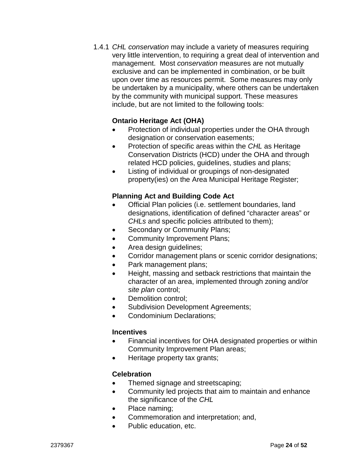1.4.1 *CHL conservation* may include a variety of measures requiring very little intervention, to requiring a great deal of intervention and management. Most *conservation* measures are not mutually exclusive and can be implemented in combination, or be built upon over time as resources permit. Some measures may only be undertaken by a municipality, where others can be undertaken by the community with municipal support. These measures include, but are not limited to the following tools:

#### **Ontario Heritage Act (OHA)**

- Protection of individual properties under the OHA through designation or conservation easements;
- Protection of specific areas within the *CHL* as Heritage Conservation Districts (HCD) under the OHA and through related HCD policies, guidelines, studies and plans;
- Listing of individual or groupings of non-designated property(ies) on the Area Municipal Heritage Register;

#### **Planning Act and Building Code Act**

- Official Plan policies (i.e. settlement boundaries, land designations, identification of defined "character areas" or *CHLs* and specific policies attributed to them);
- Secondary or Community Plans;
- Community Improvement Plans;
- Area design guidelines;
- Corridor management plans or scenic corridor designations;
- Park management plans;
- Height, massing and setback restrictions that maintain the character of an area, implemented through zoning and/or *site plan* control;
- Demolition control;
- Subdivision Development Agreements;
- Condominium Declarations;

#### **Incentives**

- Financial incentives for OHA designated properties or within Community Improvement Plan areas;
- Heritage property tax grants;

#### **Celebration**

- Themed signage and streetscaping;
- Community led projects that aim to maintain and enhance the significance of the *CHL*
- Place naming;
- Commemoration and interpretation; and,
- Public education, etc.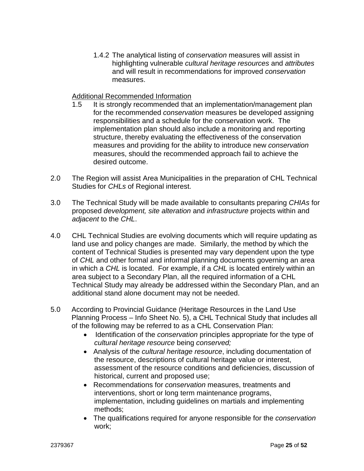1.4.2 The analytical listing of *conservation* measures will assist in highlighting vulnerable *cultural heritage resources* and *attributes* and will result in recommendations for improved *conservation* measures.

#### Additional Recommended Information

- 1.5 It is strongly recommended that an implementation/management plan for the recommended *conservation* measures be developed assigning responsibilities and a schedule for the conservation work. The implementation plan should also include a monitoring and reporting structure, thereby evaluating the effectiveness of the conservation measures and providing for the ability to introduce new *conservation* measures, should the recommended approach fail to achieve the desired outcome.
- 2.0 The Region will assist Area Municipalities in the preparation of CHL Technical Studies for *CHLs* of Regional interest.
- 3.0 The Technical Study will be made available to consultants preparing *CHIAs* for proposed *development, site alteration* and *infrastructure* projects within and *adjacent* to the *CHL*.
- 4.0 CHL Technical Studies are evolving documents which will require updating as land use and policy changes are made. Similarly, the method by which the content of Technical Studies is presented may vary dependent upon the type of *CHL* and other formal and informal planning documents governing an area in which a *CHL* is located. For example, if a *CHL* is located entirely within an area subject to a Secondary Plan, all the required information of a CHL Technical Study may already be addressed within the Secondary Plan, and an additional stand alone document may not be needed.
- 5.0 According to Provincial Guidance (Heritage Resources in the Land Use Planning Process – Info Sheet No. 5), a CHL Technical Study that includes all of the following may be referred to as a CHL Conservation Plan:
	- Identification of the *conservation* principles appropriate for the type of *cultural heritage resource* being *conserved;*
	- Analysis of the *cultural heritage resource*, including documentation of the resource, descriptions of cultural heritage value or interest, assessment of the resource conditions and deficiencies, discussion of historical, current and proposed use;
	- Recommendations for *conservation* measures, treatments and interventions, short or long term maintenance programs, implementation, including guidelines on martials and implementing methods;
	- The qualifications required for anyone responsible for the *conservation* work;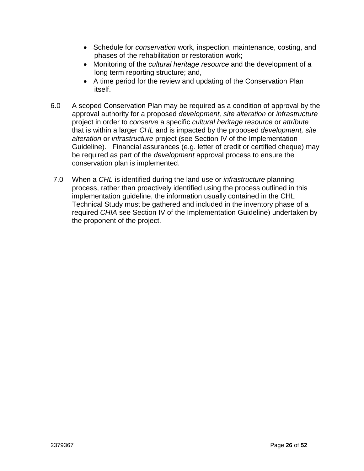- Schedule for *conservation* work, inspection, maintenance, costing, and phases of the rehabilitation or restoration work;
- Monitoring of the *cultural heritage resource* and the development of a long term reporting structure; and,
- A time period for the review and updating of the Conservation Plan itself.
- 6.0 A scoped Conservation Plan may be required as a condition of approval by the approval authority for a proposed *development, site alteration* or *infrastructure*  project in order to *conserve* a specific *cultural heritage resource* or *attribute*  that is within a larger *CHL* and is impacted by the proposed *development, site alteration* or *infrastructure* project (see Section IV of the Implementation Guideline). Financial assurances (e.g. letter of credit or certified cheque) may be required as part of the *development* approval process to ensure the conservation plan is implemented.
- 7.0 When a *CHL* is identified during the land use or *infrastructure* planning process, rather than proactively identified using the process outlined in this implementation guideline, the information usually contained in the CHL Technical Study must be gathered and included in the inventory phase of a required *CHIA* see Section IV of the Implementation Guideline) undertaken by the proponent of the project.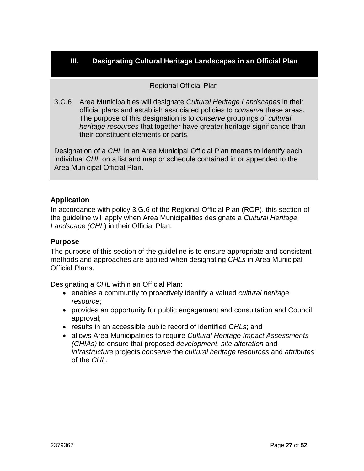#### **III. Designating Cultural Heritage Landscapes in an Official Plan**

#### Regional Official Plan

3.G.6 Area Municipalities will designate *Cultural Heritage Landscapes* in their official plans and establish associated policies to *conserve* these areas. The purpose of this designation is to *conserve* groupings of *cultural heritage resources* that together have greater heritage significance than their constituent elements or parts.

Designation of a *CHL* in an Area Municipal Official Plan means to identify each individual *CHL* on a list and map or schedule contained in or appended to the Area Municipal Official Plan.

#### **Application**

In accordance with policy 3.G.6 of the Regional Official Plan (ROP), this section of the guideline will apply when Area Municipalities designate a *Cultural Heritage Landscape (CHL*) in their Official Plan.

#### **Purpose**

The purpose of this section of the guideline is to ensure appropriate and consistent methods and approaches are applied when designating *CHLs* in Area Municipal Official Plans.

Designating a *CHL* within an Official Plan:

- enables a community to proactively identify a valued *cultural heritage resource*;
- provides an opportunity for public engagement and consultation and Council approval;
- results in an accessible public record of identified *CHLs*; and
- allows Area Municipalities to require *Cultural Heritage Impact Assessments (CHIAs)* to ensure that proposed *development*, *site alteration* and *infrastructure* projects *conserve* the *cultural heritage resources* and *attributes* of the *CHL*.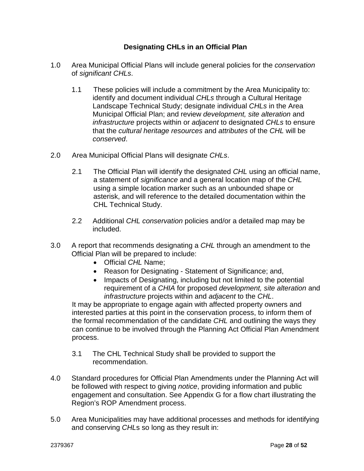#### **Designating CHLs in an Official Plan**

- 1.0 Area Municipal Official Plans will include general policies for the *conservation* of *significant CHLs*.
	- 1.1 These policies will include a commitment by the Area Municipality to: identify and document individual *CHLs* through a Cultural Heritage Landscape Technical Study; designate individual *CHLs* in the Area Municipal Official Plan; and review *development, site alteration* and *infrastructure* projects within or *adjacent* to designated *CHLs* to ensure that the *cultural heritage resources* and *attributes* of the *CHL* will be *conserved*.
- 2.0 Area Municipal Official Plans will designate *CHLs*.
	- 2.1 The Official Plan will identify the designated *CHL* using an official name, a statement of *significance* and a general location map of the *CHL* using a simple location marker such as an unbounded shape or asterisk, and will reference to the detailed documentation within the CHL Technical Study.
	- 2.2 Additional *CHL conservation* policies and/or a detailed map may be included.
- 3.0 A report that recommends designating a *CHL* through an amendment to the Official Plan will be prepared to include:
	- Official *CHL* Name;
	- Reason for Designating Statement of Significance; and,
	- Impacts of Designating, including but not limited to the potential requirement of a *CHIA* for proposed *development, site alteration* and *infrastructure* projects within and *adjacent* to the *CHL*.

It may be appropriate to engage again with affected property owners and interested parties at this point in the conservation process, to inform them of the formal recommendation of the candidate *CHL* and outlining the ways they can continue to be involved through the Planning Act Official Plan Amendment process.

- 3.1 The CHL Technical Study shall be provided to support the recommendation.
- 4.0 Standard procedures for Official Plan Amendments under the Planning Act will be followed with respect to giving *notice*, providing information and public engagement and consultation. See Appendix G for a flow chart illustrating the Region's ROP Amendment process.
- 5.0 Area Municipalities may have additional processes and methods for identifying and conserving *CHL*s so long as they result in: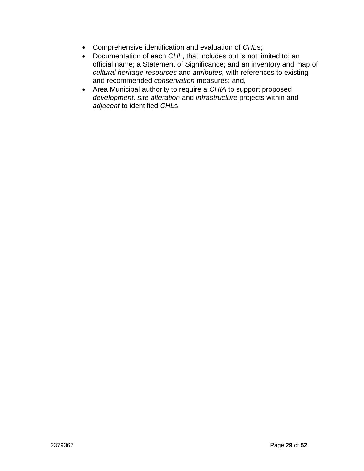- Comprehensive identification and evaluation of *CHL*s;
- Documentation of each *CHL*, that includes but is not limited to: an official name; a Statement of Significance; and an inventory and map of *cultural heritage resources* and *attributes*, with references to existing and recommended *conservation* measures; and,
- Area Municipal authority to require a *CHIA* to support proposed *development, site alteration* and *infrastructure* projects within and *adjacent* to identified *CHL*s.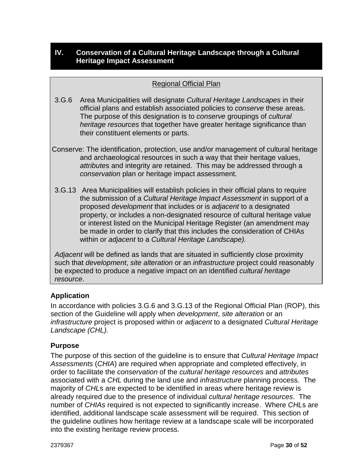#### **IV. Conservation of a Cultural Heritage Landscape through a Cultural Heritage Impact Assessment**

#### Regional Official Plan

- 3.G.6 Area Municipalities will designate *Cultural Heritage Landscapes* in their official plans and establish associated policies to *conserve* these areas. The purpose of this designation is to *conserve* groupings of *cultural heritage resources* that together have greater heritage significance than their constituent elements or parts.
- Conserve: The identification, protection, use and/or management of cultural heritage and archaeological resources in such a way that their heritage values, *attribute*s and integrity are retained. This may be addressed through a *conservation* plan or heritage impact assessment.
- 3.G.13 Area Municipalities will establish policies in their official plans to require the submission of a *Cultural Heritage Impact Assessment* in support of a proposed *development* that includes or is *adjacent* to a designated property, or includes a non-designated resource of cultural heritage value or interest listed on the Municipal Heritage Register (an amendment may be made in order to clarify that this includes the consideration of CHIAs within or *adjacent* to a *Cultural Heritage Landscape).*

*Adjacent* will be defined as lands that are situated in sufficiently close proximity such that *development*, *site alteration* or an *infrastructure* project could reasonably be expected to produce a negative impact on an identified *cultural heritage resource*.

#### **Application**

In accordance with policies 3.G.6 and 3.G.13 of the Regional Official Plan (ROP), this section of the Guideline will apply when *development*, *site alteration* or an *infrastructure* project is proposed within or *adjacent* to a designated *Cultural Heritage Landscape (CHL).*

#### **Purpose**

The purpose of this section of the guideline is to ensure that *Cultural Heritage Impact Assessments* (*CHIA*) are required when appropriate and completed effectively, in order to facilitate the *conservation* of the *cultural heritage resources* and *attributes* associated with a *CHL* during the land use and *infrastructure* planning process. The majority of *CHL*s are expected to be identified in areas where heritage review is already required due to the presence of individual *cultural heritage resources*. The number of *CHIAs* required is not expected to significantly increase. Where *CHL*s are identified, additional landscape scale assessment will be required. This section of the guideline outlines how heritage review at a landscape scale will be incorporated into the existing heritage review process.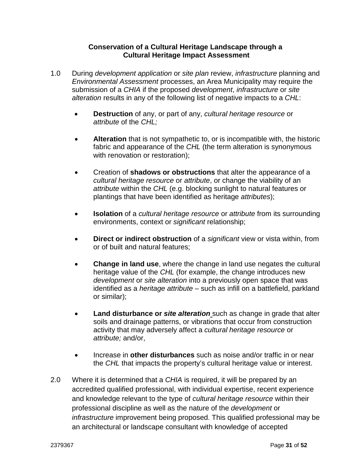#### **Conservation of a Cultural Heritage Landscape through a Cultural Heritage Impact Assessment**

- 1.0 During *development application* or *site plan* review, *infrastructure* planning and *Environmental Assessment* processes, an Area Municipality may require the submission of a *CHIA* if the proposed *development*, *infrastructure* or *site alteration* results in any of the following list of negative impacts to a *CHL*:
	- **Destruction** of any, or part of any, *cultural heritage resource* or *attribute* of the *CHL;*
	- **Alteration** that is not sympathetic to, or is incompatible with, the historic fabric and appearance of the *CHL* (the term alteration is synonymous with renovation or restoration);
	- Creation of **shadows or obstructions** that alter the appearance of a *cultural heritage resource* or *attribute*, or change the viability of an *attribute* within the *CHL* (e.g. blocking sunlight to natural features or plantings that have been identified as heritage *attributes*);
	- **Isolation** of a *cultural heritage resource* or *attribute* from its surrounding environments, context or *significant* relationship;
	- **Direct or indirect obstruction** of a *significant* view or vista within, from or of built and natural features;
	- **Change in land use**, where the change in land use negates the cultural heritage value of the *CHL* (for example, the change introduces new *development* or *site alteration* into a previously open space that was identified as a *heritage attribute* – such as infill on a battlefield, parkland or similar);
	- **Land disturbance or** *site alteration* such as change in grade that alter soils and drainage patterns, or vibrations that occur from construction activity that may adversely affect a *cultural heritage resource* or *attribute;* and/or,
	- Increase in **other disturbances** such as noise and/or traffic in or near the *CHL* that impacts the property's cultural heritage value or interest.
- 2.0 Where it is determined that a *CHIA* is required, it will be prepared by an accredited qualified professional, with individual expertise, recent experience and knowledge relevant to the type of *cultural heritage resource* within their professional discipline as well as the nature of the *development* or *infrastructure* improvement being proposed. This qualified professional may be an architectural or landscape consultant with knowledge of accepted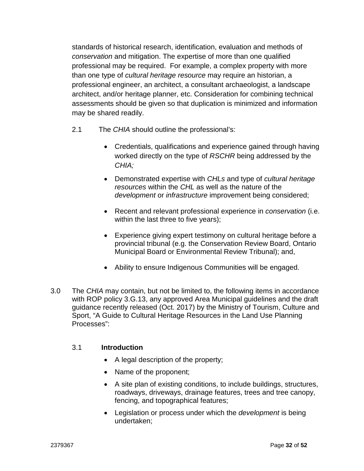standards of historical research, identification, evaluation and methods of *conservation* and mitigation. The expertise of more than one qualified professional may be required. For example, a complex property with more than one type of *cultural heritage resource* may require an historian, a professional engineer, an architect, a consultant archaeologist, a landscape architect, and/or heritage planner, etc. Consideration for combining technical assessments should be given so that duplication is minimized and information may be shared readily.

- 2.1 The *CHIA* should outline the professional's:
	- Credentials, qualifications and experience gained through having worked directly on the type of *RSCHR* being addressed by the *CHIA;*
	- Demonstrated expertise with *CHLs* and type of *cultural heritage resources* within the *CHL* as well as the nature of the *development* or *infrastructure* improvement being considered;
	- Recent and relevant professional experience in *conservation* (i.e. within the last three to five years);
	- Experience giving expert testimony on cultural heritage before a provincial tribunal (e.g. the Conservation Review Board, Ontario Municipal Board or Environmental Review Tribunal); and,
	- Ability to ensure Indigenous Communities will be engaged.
- 3.0 The *CHIA* may contain, but not be limited to, the following items in accordance with ROP policy 3.G.13, any approved Area Municipal guidelines and the draft guidance recently released (Oct. 2017) by the Ministry of Tourism, Culture and Sport, "A Guide to Cultural Heritage Resources in the Land Use Planning Processes":

#### 3.1 **Introduction**

- A legal description of the property;
- Name of the proponent;
- A site plan of existing conditions, to include buildings, structures, roadways, driveways, drainage features, trees and tree canopy, fencing, and topographical features;
- Legislation or process under which the *development* is being undertaken;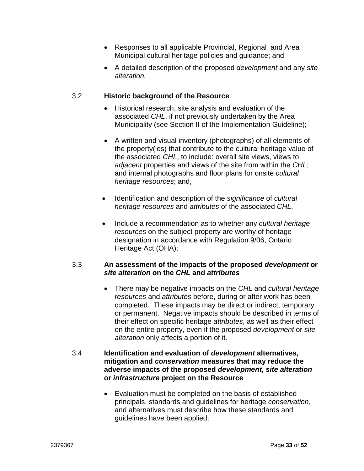- Responses to all applicable Provincial, Regional and Area Municipal cultural heritage policies and guidance; and
- A detailed description of the proposed *development* and any *site alteration.*

#### 3.2 **Historic background of the Resource**

- Historical research, site analysis and evaluation of the associated *CHL*, if not previously undertaken by the Area Municipality (see Section II of the Implementation Guideline);
- A written and visual inventory (photographs) of all elements of the property(ies) that contribute to the cultural heritage value of the associated *CHL*, to include: overall site views, views to *adjacent* properties and views of the site from within the *CHL*; and internal photographs and floor plans for onsite *cultural heritage resources*; and,
- Identification and description of the *significance* of *cultural heritage resources* and *attributes* of the associated *CHL*.
- Include a recommendation as to whether any *cultural heritage resources* on the subject property are worthy of heritage designation in accordance with Regulation 9/06, Ontario Heritage Act (OHA);

#### 3.3 **An assessment of the impacts of the proposed** *development* **or**  *site alteration* **on the** *CHL* **and** *attributes*

• There may be negative impacts on the *CHL* and *cultural heritage resources* and *attributes* before, during or after work has been completed. These impacts may be direct or indirect, temporary or permanent. Negative impacts should be described in terms of their effect on specific heritage *attributes*, as well as their effect on the entire property, even if the proposed *development* or *site alteration* only affects a portion of it.

#### 3.4 **Identification and evaluation of** *development* **alternatives, mitigation and** *conservation* **measures that may reduce the adverse impacts of the proposed** *development, site alteration*  **or** *infrastructure* **project on the Resource**

• Evaluation must be completed on the basis of established principals, standards and guidelines for heritage *conservation*, and alternatives must describe how these standards and guidelines have been applied;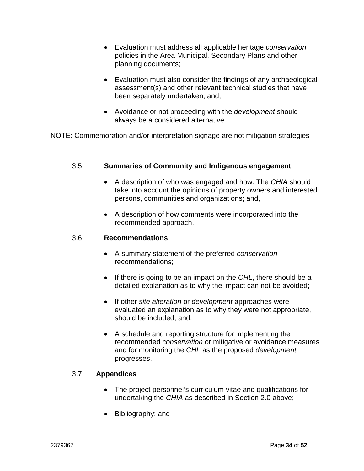- Evaluation must address all applicable heritage *conservation* policies in the Area Municipal, Secondary Plans and other planning documents;
- Evaluation must also consider the findings of any archaeological assessment(s) and other relevant technical studies that have been separately undertaken; and,
- Avoidance or not proceeding with the *development* should always be a considered alternative.

NOTE: Commemoration and/or interpretation signage are not mitigation strategies

#### 3.5 **Summaries of Community and Indigenous engagement**

- A description of who was engaged and how. The *CHIA* should take into account the opinions of property owners and interested persons, communities and organizations; and,
- A description of how comments were incorporated into the recommended approach.

#### 3.6 **Recommendations**

- A summary statement of the preferred *conservation* recommendations;
- If there is going to be an impact on the *CHL*, there should be a detailed explanation as to why the impact can not be avoided;
- If other *site alteration* or *development* approaches were evaluated an explanation as to why they were not appropriate, should be included; and,
- A schedule and reporting structure for implementing the recommended *conservation* or mitigative or avoidance measures and for monitoring the *CHL* as the proposed *development* progresses.

#### 3.7 **Appendices**

- The project personnel's curriculum vitae and qualifications for undertaking the *CHIA* as described in Section 2.0 above;
- Bibliography; and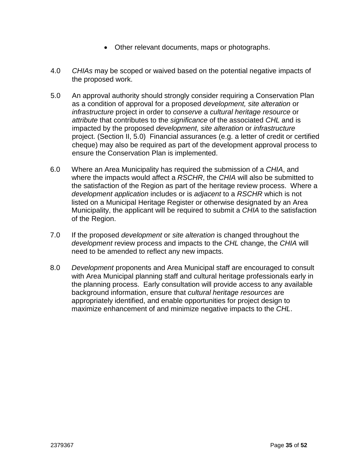- Other relevant documents, maps or photographs.
- 4.0 *CHIAs* may be scoped or waived based on the potential negative impacts of the proposed work.
- 5.0 An approval authority should strongly consider requiring a Conservation Plan as a condition of approval for a proposed *development, site alteration* or *infrastructure* project in order to *conserve* a *cultural heritage resource* or *attribute* that contributes to the *significance* of the associated *CHL* and is impacted by the proposed *development, site alteration* or *infrastructure*  project. (Section II, 5.0) Financial assurances (e.g. a letter of credit or certified cheque) may also be required as part of the development approval process to ensure the Conservation Plan is implemented.
- 6.0 Where an Area Municipality has required the submission of a *CHIA*, and where the impacts would affect a *RSCHR*, the *CHIA* will also be submitted to the satisfaction of the Region as part of the heritage review process. Where a *development application* includes or is *adjacent* to a *RSCHR* which is not listed on a Municipal Heritage Register or otherwise designated by an Area Municipality, the applicant will be required to submit a *CHIA* to the satisfaction of the Region.
- 7.0 If the proposed *development* or *site alteration* is changed throughout the *development* review process and impacts to the *CHL* change, the *CHIA* will need to be amended to reflect any new impacts.
- 8.0 *Development* proponents and Area Municipal staff are encouraged to consult with Area Municipal planning staff and cultural heritage professionals early in the planning process. Early consultation will provide access to any available background information, ensure that *cultural heritage resources* are appropriately identified, and enable opportunities for project design to maximize enhancement of and minimize negative impacts to the *CHL*.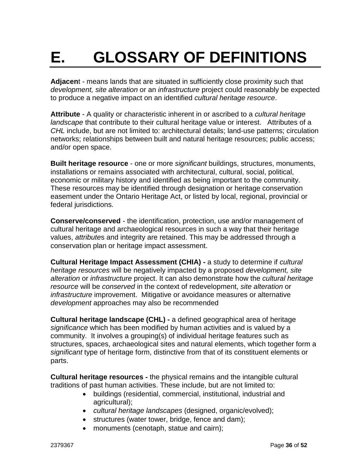## **E. GLOSSARY OF DEFINITIONS**

**Adjacen**t - means lands that are situated in sufficiently close proximity such that *development, site alteration* or an *infrastructure* project could reasonably be expected to produce a negative impact on an identified *cultural heritage resource*.

**Attribute** - A quality or characteristic inherent in or ascribed to a *cultural heritage landscape* that contribute to their cultural heritage value or interest. Attributes of a *CHL* include, but are not limited to: architectural details; land-use patterns; circulation networks; relationships between built and natural heritage resources; public access; and/or open space.

**Built heritage resource** - one or more *significant* buildings, structures, monuments, installations or remains associated with architectural, cultural, social, political, economic or military history and identified as being important to the community. These resources may be identified through designation or heritage conservation easement under the Ontario Heritage Act, or listed by local, regional, provincial or federal jurisdictions.

**Conserve/conserved** - the identification, protection, use and/or management of cultural heritage and archaeological resources in such a way that their heritage values, *attribute*s and integrity are retained. This may be addressed through a conservation plan or heritage impact assessment.

**Cultural Heritage Impact Assessment (CHIA) -** a study to determine if *cultural heritage resources* will be negatively impacted by a proposed *development, site alteration* or *infrastructure* project. It can also demonstrate how the *cultural heritage resource* will be *conserved* in the context of redevelopment, *site alteration* or *infrastructure* improvement. Mitigative or avoidance measures or alternative *development* approaches may also be recommended

**Cultural heritage landscape (CHL) -** a defined geographical area of heritage *significance* which has been modified by human activities and is valued by a community. It involves a grouping(s) of individual heritage features such as structures, spaces, archaeological sites and natural elements, which together form a *significant* type of heritage form, distinctive from that of its constituent elements or parts.

**Cultural heritage resources -** the physical remains and the intangible cultural traditions of past human activities. These include, but are not limited to:

- buildings (residential, commercial, institutional, industrial and agricultural);
- *cultural heritage landscapes* (designed, organic/evolved);
- structures (water tower, bridge, fence and dam);
- monuments (cenotaph, statue and cairn);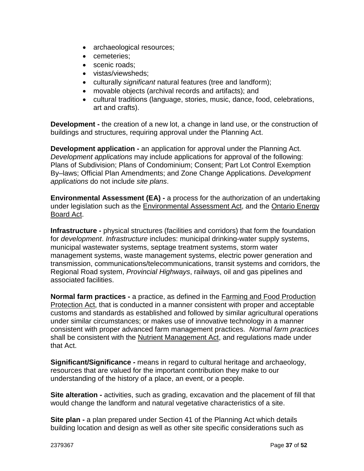- archaeological resources;
- cemeteries;
- scenic roads:
- vistas/viewsheds;
- culturally *significant* natural features (tree and landform);
- movable objects (archival records and artifacts); and
- cultural traditions (language, stories, music, dance, food, celebrations, art and crafts).

**Development -** the creation of a new lot, a change in land use, or the construction of buildings and structures, requiring approval under the Planning Act.

**Development application -** an application for approval under the Planning Act. *Development applications* may include applications for approval of the following: Plans of Subdivision; Plans of Condominium; Consent; Part Lot Control Exemption By–laws; Official Plan Amendments; and Zone Change Applications. *Development applications* do not include *site plans*.

**Environmental Assessment (EA) -** a process for the authorization of an undertaking under legislation such as the Environmental Assessment Act, and the Ontario Energy Board Act.

**Infrastructure -** physical structures (facilities and corridors) that form the foundation for *development*. *Infrastructure* includes: municipal drinking-water supply systems, municipal wastewater systems, septage treatment systems, storm water management systems, waste management systems, electric power generation and transmission, communications/telecommunications, transit systems and corridors, the Regional Road system, *Provincial Highways*, railways, oil and gas pipelines and associated facilities.

**Normal farm practices -** a practice, as defined in the Farming and Food Production Protection Act, that is conducted in a manner consistent with proper and acceptable customs and standards as established and followed by similar agricultural operations under similar circumstances; or makes use of innovative technology in a manner consistent with proper advanced farm management practices. *Normal farm practices* shall be consistent with the Nutrient Management Act, and regulations made under that Act.

**Significant/Significance -** means in regard to cultural heritage and archaeology, resources that are valued for the important contribution they make to our understanding of the history of a place, an event, or a people.

**Site alteration -** activities, such as grading, excavation and the placement of fill that would change the landform and natural vegetative characteristics of a site.

**Site plan -** a plan prepared under Section 41 of the Planning Act which details building location and design as well as other site specific considerations such as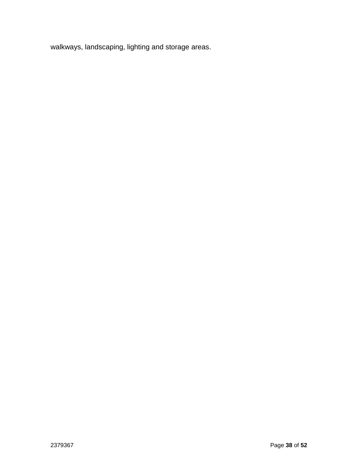walkways, landscaping, lighting and storage areas.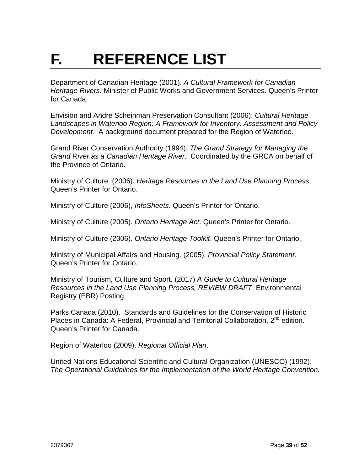## **F. REFERENCE LIST**

Department of Canadian Heritage (2001). *A Cultural Framework for Canadian Heritage Rivers*. Minister of Public Works and Government Services. Queen's Printer for Canada.

Envision and Andre Scheinman Preservation Consultant (2006). *Cultural Heritage Landscapes in Waterloo Region: A Framework for Inventory, Assessment and Policy Development.* A background document prepared for the Region of Waterloo.

Grand River Conservation Authority (1994). *The Grand Strategy for Managing the Grand River as a Canadian Heritage River*. Coordinated by the GRCA on behalf of the Province of Ontario.

Ministry of Culture. (2006). *Heritage Resources in the Land Use Planning Process*. Queen's Printer for Ontario.

Ministry of Culture (2006), *InfoSheets*. Queen's Printer for Ontario.

Ministry of Culture (2005). *Ontario Heritage Act*. Queen's Printer for Ontario.

Ministry of Culture (2006). *Ontario Heritage Toolkit*. Queen's Printer for Ontario.

Ministry of Municipal Affairs and Housing. (2005). *Provincial Policy Statement*. Queen's Printer for Ontario.

Ministry of Tourism, Culture and Sport. (2017) *A Guide to Cultural Heritage Resources in the Land Use Planning Process, REVIEW DRAFT*. Environmental Registry (EBR) Posting.

Parks Canada (2010). Standards and Guidelines for the Conservation of Historic Places in Canada: A Federal, Provincial and Territorial Collaboration, 2<sup>nd</sup> edition. Queen's Printer for Canada.

Region of Waterloo (2009). *Regional Official Plan*.

United Nations Educational Scientific and Cultural Organization (UNESCO) (1992). *The Operational Guidelines for the Implementation of the World Heritage Convention.*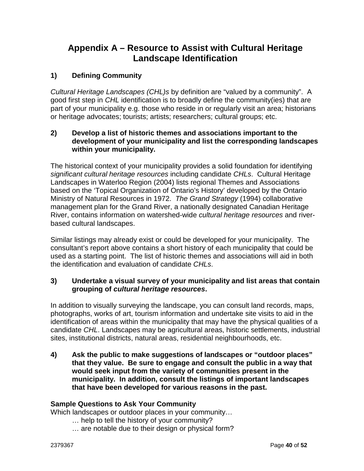### **Appendix A – Resource to Assist with Cultural Heritage Landscape Identification**

#### **1) Defining Community**

*Cultural Heritage Landscapes (CHL)s* by definition are "valued by a community". A good first step in *CHL* identification is to broadly define the community(ies) that are part of your municipality e.g. those who reside in or regularly visit an area; historians or heritage advocates; tourists; artists; researchers; cultural groups; etc.

#### **2) Develop a list of historic themes and associations important to the development of your municipality and list the corresponding landscapes within your municipality.**

The historical context of your municipality provides a solid foundation for identifying *significant cultural heritage resources* including candidate *CHLs*. Cultural Heritage Landscapes in Waterloo Region (2004) lists regional Themes and Associations based on the 'Topical Organization of Ontario's History' developed by the Ontario Ministry of Natural Resources in 1972. *The Grand Strategy* (1994) collaborative management plan for the Grand River, a nationally designated Canadian Heritage River, contains information on watershed-wide *cultural heritage resources* and riverbased cultural landscapes.

Similar listings may already exist or could be developed for your municipality. The consultant's report above contains a short history of each municipality that could be used as a starting point. The list of historic themes and associations will aid in both the identification and evaluation of candidate *CHLs*.

#### **3) Undertake a visual survey of your municipality and list areas that contain grouping of** *cultural heritage resources***.**

In addition to visually surveying the landscape, you can consult land records, maps, photographs, works of art, tourism information and undertake site visits to aid in the identification of areas within the municipality that may have the physical qualities of a candidate *CHL*. Landscapes may be agricultural areas, historic settlements, industrial sites, institutional districts, natural areas, residential neighbourhoods, etc.

**4) Ask the public to make suggestions of landscapes or "outdoor places" that they value. Be sure to engage and consult the public in a way that would seek input from the variety of communities present in the municipality. In addition, consult the listings of important landscapes that have been developed for various reasons in the past.** 

#### **Sample Questions to Ask Your Community**

Which landscapes or outdoor places in your community…

- … help to tell the history of your community?
- … are notable due to their design or physical form?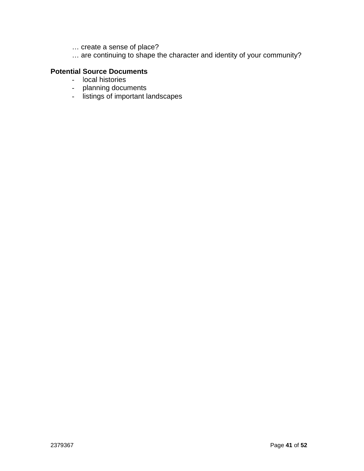- … create a sense of place?
- … are continuing to shape the character and identity of your community?

#### **Potential Source Documents**

- local histories
- planning documents
- listings of important landscapes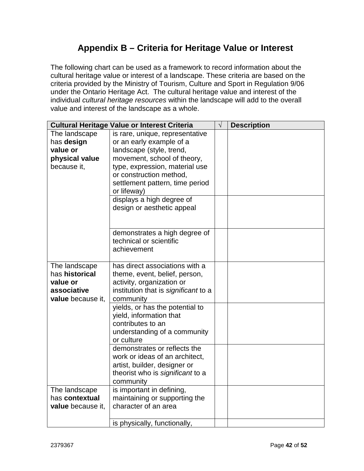### **Appendix B – Criteria for Heritage Value or Interest**

The following chart can be used as a framework to record information about the cultural heritage value or interest of a landscape. These criteria are based on the criteria provided by the Ministry of Tourism, Culture and Sport in Regulation 9/06 under the Ontario Heritage Act. The cultural heritage value and interest of the individual *cultural heritage resources* within the landscape will add to the overall value and interest of the landscape as a whole.

|                   | <b>Cultural Heritage Value or Interest Criteria</b> | $\sqrt{}$ | <b>Description</b> |
|-------------------|-----------------------------------------------------|-----------|--------------------|
| The landscape     | is rare, unique, representative                     |           |                    |
| has design        | or an early example of a                            |           |                    |
| value or          | landscape (style, trend,                            |           |                    |
| physical value    | movement, school of theory,                         |           |                    |
| because it,       | type, expression, material use                      |           |                    |
|                   | or construction method,                             |           |                    |
|                   | settlement pattern, time period                     |           |                    |
|                   | or lifeway)                                         |           |                    |
|                   | displays a high degree of                           |           |                    |
|                   | design or aesthetic appeal                          |           |                    |
|                   |                                                     |           |                    |
|                   | demonstrates a high degree of                       |           |                    |
|                   | technical or scientific                             |           |                    |
|                   | achievement                                         |           |                    |
| The landscape     | has direct associations with a                      |           |                    |
| has historical    | theme, event, belief, person,                       |           |                    |
| value or          | activity, organization or                           |           |                    |
| associative       | institution that is significant to a                |           |                    |
| value because it, | community                                           |           |                    |
|                   | yields, or has the potential to                     |           |                    |
|                   | yield, information that                             |           |                    |
|                   | contributes to an                                   |           |                    |
|                   | understanding of a community                        |           |                    |
|                   | or culture                                          |           |                    |
|                   | demonstrates or reflects the                        |           |                    |
|                   | work or ideas of an architect,                      |           |                    |
|                   | artist, builder, designer or                        |           |                    |
|                   | theorist who is significant to a<br>community       |           |                    |
| The landscape     | is important in defining,                           |           |                    |
| has contextual    | maintaining or supporting the                       |           |                    |
| value because it, | character of an area                                |           |                    |
|                   |                                                     |           |                    |
|                   | is physically, functionally,                        |           |                    |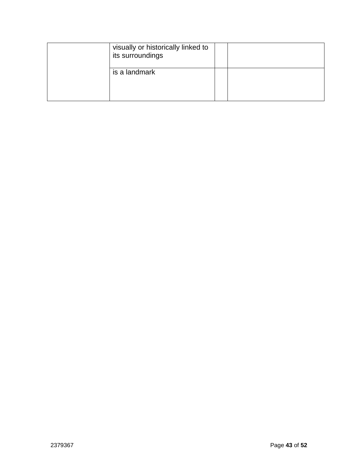| visually or historically linked to<br>its surroundings |  |
|--------------------------------------------------------|--|
| is a landmark                                          |  |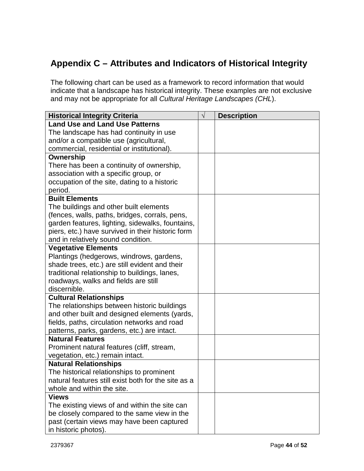### **Appendix C – Attributes and Indicators of Historical Integrity**

The following chart can be used as a framework to record information that would indicate that a landscape has historical integrity. These examples are not exclusive and may not be appropriate for all *Cultural Heritage Landscapes (CHL*).

| <b>Historical Integrity Criteria</b>                | $\sqrt{}$ | <b>Description</b> |
|-----------------------------------------------------|-----------|--------------------|
| <b>Land Use and Land Use Patterns</b>               |           |                    |
| The landscape has had continuity in use             |           |                    |
| and/or a compatible use (agricultural,              |           |                    |
| commercial, residential or institutional).          |           |                    |
| Ownership                                           |           |                    |
| There has been a continuity of ownership,           |           |                    |
| association with a specific group, or               |           |                    |
| occupation of the site, dating to a historic        |           |                    |
| period.                                             |           |                    |
| <b>Built Elements</b>                               |           |                    |
| The buildings and other built elements              |           |                    |
| (fences, walls, paths, bridges, corrals, pens,      |           |                    |
| garden features, lighting, sidewalks, fountains,    |           |                    |
| piers, etc.) have survived in their historic form   |           |                    |
| and in relatively sound condition.                  |           |                    |
| <b>Vegetative Elements</b>                          |           |                    |
| Plantings (hedgerows, windrows, gardens,            |           |                    |
| shade trees, etc.) are still evident and their      |           |                    |
| traditional relationship to buildings, lanes,       |           |                    |
| roadways, walks and fields are still                |           |                    |
| discernible.                                        |           |                    |
| <b>Cultural Relationships</b>                       |           |                    |
| The relationships between historic buildings        |           |                    |
| and other built and designed elements (yards,       |           |                    |
| fields, paths, circulation networks and road        |           |                    |
| patterns, parks, gardens, etc.) are intact.         |           |                    |
| <b>Natural Features</b>                             |           |                    |
| Prominent natural features (cliff, stream,          |           |                    |
| vegetation, etc.) remain intact.                    |           |                    |
| <b>Natural Relationships</b>                        |           |                    |
| The historical relationships to prominent           |           |                    |
| natural features still exist both for the site as a |           |                    |
| whole and within the site.                          |           |                    |
| <b>Views</b>                                        |           |                    |
| The existing views of and within the site can       |           |                    |
| be closely compared to the same view in the         |           |                    |
| past (certain views may have been captured          |           |                    |
| in historic photos).                                |           |                    |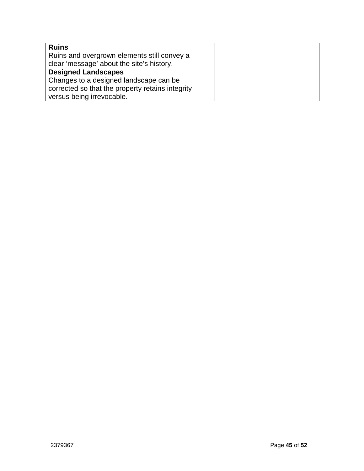| <b>Ruins</b><br>Ruins and overgrown elements still convey a<br>clear 'message' about the site's history.                                              |  |
|-------------------------------------------------------------------------------------------------------------------------------------------------------|--|
| <b>Designed Landscapes</b><br>Changes to a designed landscape can be<br>corrected so that the property retains integrity<br>versus being irrevocable. |  |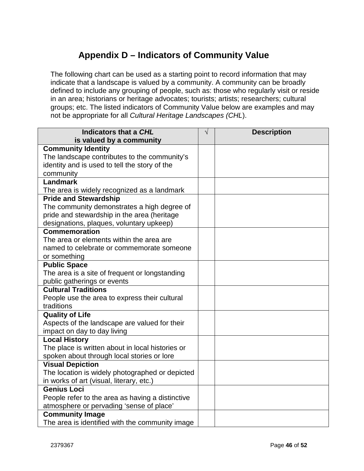### **Appendix D – Indicators of Community Value**

The following chart can be used as a starting point to record information that may indicate that a landscape is valued by a community. A community can be broadly defined to include any grouping of people, such as: those who regularly visit or reside in an area; historians or heritage advocates; tourists; artists; researchers; cultural groups; etc. The listed indicators of Community Value below are examples and may not be appropriate for all *Cultural Heritage Landscapes (CHL*).

| Indicators that a CHL                            | $\sqrt{}$ | <b>Description</b> |
|--------------------------------------------------|-----------|--------------------|
| is valued by a community                         |           |                    |
| <b>Community Identity</b>                        |           |                    |
| The landscape contributes to the community's     |           |                    |
| identity and is used to tell the story of the    |           |                    |
| community                                        |           |                    |
| <b>Landmark</b>                                  |           |                    |
| The area is widely recognized as a landmark      |           |                    |
| <b>Pride and Stewardship</b>                     |           |                    |
| The community demonstrates a high degree of      |           |                    |
| pride and stewardship in the area (heritage      |           |                    |
| designations, plaques, voluntary upkeep)         |           |                    |
| <b>Commemoration</b>                             |           |                    |
| The area or elements within the area are         |           |                    |
| named to celebrate or commemorate someone        |           |                    |
| or something                                     |           |                    |
| <b>Public Space</b>                              |           |                    |
| The area is a site of frequent or longstanding   |           |                    |
| public gatherings or events                      |           |                    |
| <b>Cultural Traditions</b>                       |           |                    |
| People use the area to express their cultural    |           |                    |
| traditions                                       |           |                    |
| <b>Quality of Life</b>                           |           |                    |
| Aspects of the landscape are valued for their    |           |                    |
| impact on day to day living                      |           |                    |
| <b>Local History</b>                             |           |                    |
| The place is written about in local histories or |           |                    |
| spoken about through local stories or lore       |           |                    |
| <b>Visual Depiction</b>                          |           |                    |
| The location is widely photographed or depicted  |           |                    |
| in works of art (visual, literary, etc.)         |           |                    |
| <b>Genius Loci</b>                               |           |                    |
| People refer to the area as having a distinctive |           |                    |
| atmosphere or pervading 'sense of place'         |           |                    |
| <b>Community Image</b>                           |           |                    |
| The area is identified with the community image  |           |                    |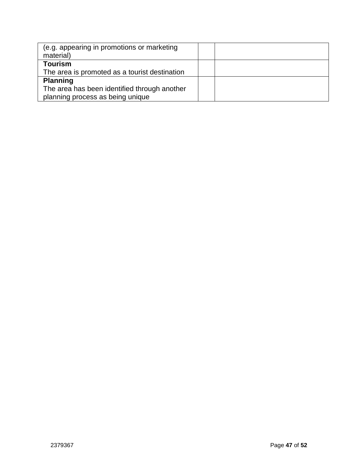| (e.g. appearing in promotions or marketing<br>material)                                             |  |
|-----------------------------------------------------------------------------------------------------|--|
| Tourism<br>The area is promoted as a tourist destination                                            |  |
| <b>Planning</b><br>The area has been identified through another<br>planning process as being unique |  |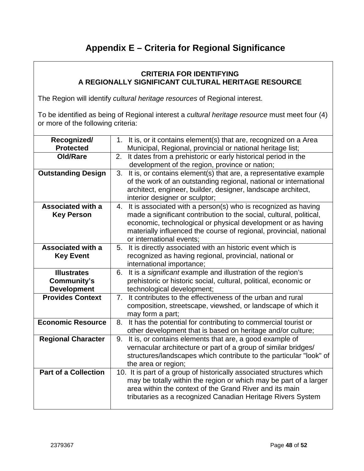### **Appendix E – Criteria for Regional Significance**

#### **CRITERIA FOR IDENTIFYING A REGIONALLY SIGNIFICANT CULTURAL HERITAGE RESOURCE**

The Region will identify *cultural heritage resources* of Regional interest.

To be identified as being of Regional interest a *cultural heritage resource* must meet four (4) or more of the following criteria:

| Recognized/<br><b>Protected</b>                         | 1. It is, or it contains element(s) that are, recognized on a Area<br>Municipal, Regional, provincial or national heritage list;                                                                                                                                                                          |
|---------------------------------------------------------|-----------------------------------------------------------------------------------------------------------------------------------------------------------------------------------------------------------------------------------------------------------------------------------------------------------|
| Old/Rare                                                | It dates from a prehistoric or early historical period in the<br>2.<br>development of the region, province or nation;                                                                                                                                                                                     |
| <b>Outstanding Design</b>                               | It is, or contains element(s) that are, a representative example<br>3.<br>of the work of an outstanding regional, national or international<br>architect, engineer, builder, designer, landscape architect,<br>interior designer or sculptor;                                                             |
| <b>Associated with a</b><br><b>Key Person</b>           | 4. It is associated with a person(s) who is recognized as having<br>made a significant contribution to the social, cultural, political,<br>economic, technological or physical development or as having<br>materially influenced the course of regional, provincial, national<br>or international events; |
| <b>Associated with a</b><br><b>Key Event</b>            | It is directly associated with an historic event which is<br>5.<br>recognized as having regional, provincial, national or<br>international importance;                                                                                                                                                    |
| <b>Illustrates</b><br>Community's<br><b>Development</b> | 6. It is a significant example and illustration of the region's<br>prehistoric or historic social, cultural, political, economic or<br>technological development;                                                                                                                                         |
| <b>Provides Context</b>                                 | 7. It contributes to the effectiveness of the urban and rural<br>composition, streetscape, viewshed, or landscape of which it<br>may form a part;                                                                                                                                                         |
| <b>Economic Resource</b>                                | It has the potential for contributing to commercial tourist or<br>8.<br>other development that is based on heritage and/or culture;                                                                                                                                                                       |
| <b>Regional Character</b>                               | 9. It is, or contains elements that are, a good example of<br>vernacular architecture or part of a group of similar bridges/<br>structures/landscapes which contribute to the particular "look" of<br>the area or region;                                                                                 |
| <b>Part of a Collection</b>                             | 10. It is part of a group of historically associated structures which<br>may be totally within the region or which may be part of a larger<br>area within the context of the Grand River and its main<br>tributaries as a recognized Canadian Heritage Rivers System                                      |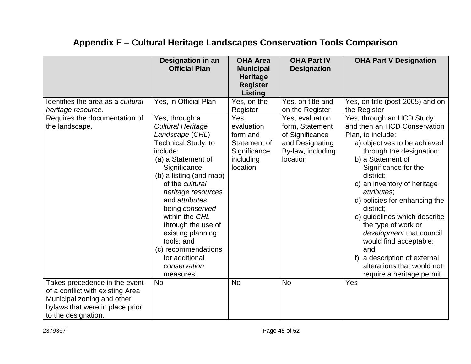|                                                                                                                                                           | Designation in an<br><b>Official Plan</b>                                                                                                                                                                                                                                                                                                                                                                | <b>OHA Area</b><br><b>Municipal</b><br><b>Heritage</b><br><b>Register</b><br><b>Listing</b> | <b>OHA Part IV</b><br><b>Designation</b>                                                                  | <b>OHA Part V Designation</b>                                                                                                                                                                                                                                                                                                                                                                                                                                                                                 |
|-----------------------------------------------------------------------------------------------------------------------------------------------------------|----------------------------------------------------------------------------------------------------------------------------------------------------------------------------------------------------------------------------------------------------------------------------------------------------------------------------------------------------------------------------------------------------------|---------------------------------------------------------------------------------------------|-----------------------------------------------------------------------------------------------------------|---------------------------------------------------------------------------------------------------------------------------------------------------------------------------------------------------------------------------------------------------------------------------------------------------------------------------------------------------------------------------------------------------------------------------------------------------------------------------------------------------------------|
| Identifies the area as a cultural<br>heritage resource.                                                                                                   | Yes, in Official Plan                                                                                                                                                                                                                                                                                                                                                                                    | Yes, on the<br>Register                                                                     | Yes, on title and<br>on the Register                                                                      | Yes, on title (post-2005) and on<br>the Register                                                                                                                                                                                                                                                                                                                                                                                                                                                              |
| Requires the documentation of<br>the landscape.                                                                                                           | Yes, through a<br><b>Cultural Heritage</b><br>Landscape (CHL)<br>Technical Study, to<br>include:<br>(a) a Statement of<br>Significance;<br>(b) a listing (and map)<br>of the cultural<br>heritage resources<br>and <i>attributes</i><br>being conserved<br>within the CHL<br>through the use of<br>existing planning<br>tools; and<br>(c) recommendations<br>for additional<br>conservation<br>measures. | Yes,<br>evaluation<br>form and<br>Statement of<br>Significance<br>including<br>location     | Yes, evaluation<br>form, Statement<br>of Significance<br>and Designating<br>By-law, including<br>location | Yes, through an HCD Study<br>and then an HCD Conservation<br>Plan, to include:<br>a) objectives to be achieved<br>through the designation;<br>b) a Statement of<br>Significance for the<br>district;<br>c) an inventory of heritage<br>attributes;<br>d) policies for enhancing the<br>district;<br>e) guidelines which describe<br>the type of work or<br>development that council<br>would find acceptable;<br>and<br>a description of external<br>alterations that would not<br>require a heritage permit. |
| Takes precedence in the event<br>of a conflict with existing Area<br>Municipal zoning and other<br>bylaws that were in place prior<br>to the designation. | <b>No</b>                                                                                                                                                                                                                                                                                                                                                                                                | <b>No</b>                                                                                   | <b>No</b>                                                                                                 | Yes                                                                                                                                                                                                                                                                                                                                                                                                                                                                                                           |

## **Appendix F – Cultural Heritage Landscapes Conservation Tools Comparison**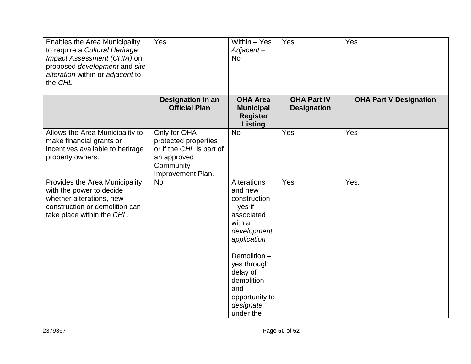| Enables the Area Municipality<br>to require a Cultural Heritage<br>Impact Assessment (CHIA) on<br>proposed development and site<br>alteration within or adjacent to<br>the CHL. | Yes                                                                                                               | Within - Yes<br>Adjacent-<br><b>No</b>                                                                                                                                                                                 | Yes                                      | Yes                           |
|---------------------------------------------------------------------------------------------------------------------------------------------------------------------------------|-------------------------------------------------------------------------------------------------------------------|------------------------------------------------------------------------------------------------------------------------------------------------------------------------------------------------------------------------|------------------------------------------|-------------------------------|
|                                                                                                                                                                                 | Designation in an<br><b>Official Plan</b>                                                                         | <b>OHA Area</b><br><b>Municipal</b><br><b>Register</b><br><b>Listing</b>                                                                                                                                               | <b>OHA Part IV</b><br><b>Designation</b> | <b>OHA Part V Designation</b> |
| Allows the Area Municipality to<br>make financial grants or<br>incentives available to heritage<br>property owners.                                                             | Only for OHA<br>protected properties<br>or if the CHL is part of<br>an approved<br>Community<br>Improvement Plan. | <b>No</b>                                                                                                                                                                                                              | Yes                                      | Yes                           |
| Provides the Area Municipality<br>with the power to decide<br>whether alterations, new<br>construction or demolition can<br>take place within the CHL.                          | <b>No</b>                                                                                                         | Alterations<br>and new<br>construction<br>$-$ yes if<br>associated<br>with a<br>development<br>application<br>Demolition -<br>yes through<br>delay of<br>demolition<br>and<br>opportunity to<br>designate<br>under the | Yes                                      | Yes.                          |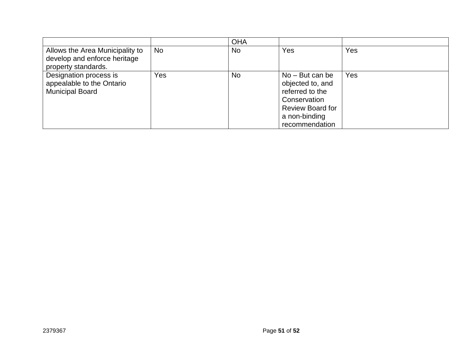|                                                                                        |           | <b>OHA</b> |                                                                                                                                        |     |
|----------------------------------------------------------------------------------------|-----------|------------|----------------------------------------------------------------------------------------------------------------------------------------|-----|
| Allows the Area Municipality to<br>develop and enforce heritage<br>property standards. | <b>No</b> | No.        | Yes                                                                                                                                    | Yes |
| Designation process is<br>appealable to the Ontario<br><b>Municipal Board</b>          | Yes       | No.        | $No - But can be$<br>objected to, and<br>referred to the<br>Conservation<br><b>Review Board for</b><br>a non-binding<br>recommendation | Yes |